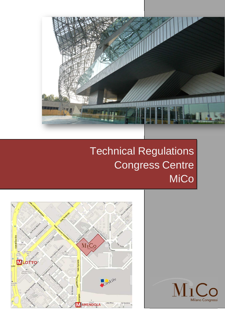

# Technical Regulations Congress Centre MiCo



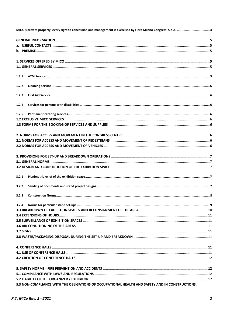| 1.2.1 |                                                                                                 |  |
|-------|-------------------------------------------------------------------------------------------------|--|
| 1.2.2 |                                                                                                 |  |
|       |                                                                                                 |  |
| 1.2.3 |                                                                                                 |  |
| 1.2.4 |                                                                                                 |  |
|       |                                                                                                 |  |
| 1.2.5 |                                                                                                 |  |
|       |                                                                                                 |  |
|       |                                                                                                 |  |
|       |                                                                                                 |  |
|       |                                                                                                 |  |
|       |                                                                                                 |  |
|       |                                                                                                 |  |
|       |                                                                                                 |  |
|       |                                                                                                 |  |
|       |                                                                                                 |  |
| 3.2.1 |                                                                                                 |  |
| 3.2.2 |                                                                                                 |  |
|       |                                                                                                 |  |
|       |                                                                                                 |  |
| 3.2.4 |                                                                                                 |  |
|       |                                                                                                 |  |
|       |                                                                                                 |  |
|       |                                                                                                 |  |
|       |                                                                                                 |  |
|       |                                                                                                 |  |
|       |                                                                                                 |  |
|       |                                                                                                 |  |
|       |                                                                                                 |  |
|       |                                                                                                 |  |
|       |                                                                                                 |  |
|       |                                                                                                 |  |
|       |                                                                                                 |  |
|       | 5.3 NON-COMPLIANCE WITH THE OBLIGATIONS OF OCCUPATIONAL HEALTH AND SAFETY AND IN CONSTRUCTIONS, |  |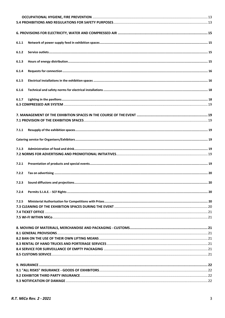| 6.1.1 |  |
|-------|--|
|       |  |
| 6.1.2 |  |
|       |  |
| 6.1.3 |  |
| 6.1.4 |  |
|       |  |
| 6.1.5 |  |
|       |  |
| 6.1.6 |  |
|       |  |
| 6.1.7 |  |
|       |  |
|       |  |
|       |  |
|       |  |
|       |  |
| 7.1.1 |  |
|       |  |
|       |  |
| 7.1.3 |  |
|       |  |
|       |  |
| 7.2.1 |  |
|       |  |
| 7.2.2 |  |
|       |  |
| 7.2.3 |  |
|       |  |
| 7.2.4 |  |
|       |  |
| 7.2.5 |  |
|       |  |
|       |  |
|       |  |
|       |  |
|       |  |
|       |  |
|       |  |
|       |  |
|       |  |
|       |  |
|       |  |
|       |  |
|       |  |
|       |  |
|       |  |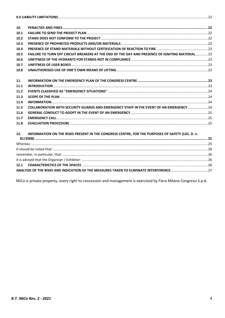| 10.  |                                                                                                 |  |
|------|-------------------------------------------------------------------------------------------------|--|
| 10.1 |                                                                                                 |  |
| 10.2 |                                                                                                 |  |
| 10.3 |                                                                                                 |  |
| 10.4 |                                                                                                 |  |
| 10.5 | FAILURE TO TURN OFF CIRCUIT BREAKERS AT THE END OF THE DAY AND PRESENCE OF IGNITING MATERIAL 23 |  |
| 10.6 |                                                                                                 |  |
| 10.7 |                                                                                                 |  |
| 10.8 |                                                                                                 |  |
| 11.  |                                                                                                 |  |
| 11.1 |                                                                                                 |  |
| 11.2 |                                                                                                 |  |
| 11.3 |                                                                                                 |  |
| 11.4 |                                                                                                 |  |
| 11.5 | COLLABORATION WITH SECURITY GUARDS AND EMERGENCY STAFF IN THE EVENT OF AN EMERGENCY  24         |  |
| 11.6 |                                                                                                 |  |
| 11.7 |                                                                                                 |  |
| 11.8 |                                                                                                 |  |
| 12.  | INFORMATION ON THE RISKS PRESENT IN THE CONGRESS CENTRE, FOR THE PURPOSES OF SAFETY (LGS. D. n. |  |
|      |                                                                                                 |  |
|      |                                                                                                 |  |
|      |                                                                                                 |  |
|      |                                                                                                 |  |
|      |                                                                                                 |  |
| 12.1 |                                                                                                 |  |
|      |                                                                                                 |  |

<span id="page-3-0"></span>MiCo is private property, every right to concession and management is exercised by Fiera Milano Congressi S.p.A.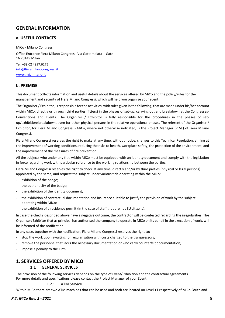# <span id="page-4-0"></span>**GENERAL INFORMATION**

## <span id="page-4-1"></span>**a. USEFUL CONTACTS**

MiCo - Milano Congressi Office Entrance Fiera Milano Congressi: Via Gattamelata – Gate 16 20149 Milan Tel. +39 02 4997.6275 [info@fieramilanocongressi.it](mailto:info@fieramilanocongressi.it) [www.micmilano.it](http://www.micmilano.it/)

#### <span id="page-4-2"></span>**b. PREMISE**

This document collects information and useful details about the services offered by MiCo and the policy/rules for the management and security of Fiera Milano Congressi, which will help you organise your event.

The Organiser / Exhibitor, is responsible for the activities, with rules given in the following, that are made under his/her account within MiCo, directly or through third parties (fitters) in the phases of set-up, carrying out and breakdown at the Congresses-Conventions and Events. The Organizer / Exhibitor is fully responsible for the procedures in the phases of setup/exhibition/breakdown, even for other physical persons in the relative operational phases. The referent of the Organiser / Exhibitor, for Fiera Milano Congressi - MiCo, where not otherwise indicated, is the Project Manager (P.M.) of Fiera Milano Congressi.

Fiera Milano Congressi reserves the right to make at any time, without notice, changes to this Technical Regulation, aiming at the improvement of working conditions, reducing the risks to health, workplace safety, the protection of the environment, and the improvement of the measures of fire prevention.

All the subjects who under any title within MiCo must be equipped with an identity document and comply with the legislation in force regarding work with particular reference to the working relationship between the parties.

Fiera Milano Congressi reserves the right to check at any time, directly and/or by third parties (physical or legal persons) appointed by the same, and request the subject under various title operating within the MiCo:

- exhibition of the badge;
- the authenticity of the badge;
- the exhibition of the identity document;
- the exhibition of contractual documentation and insurance suitable to justify the provision of work by the subject operating within MiCo;
- the exhibition of a residence permit (in the case of staff that are not EU citizens);

In case the checks described above have a negative outcome, the contractor will be contested regarding the irregularities. The Organiser/Exhibitor that as principal has authorised the company to operate in MiCo on its behalf in the execution of work, will be informed of the notification.

In any case, together with the notification, Fiera Milano Congressi reserves the right to:

- stop the work upon awaiting for regularisation with costs charged to the transgressors;
- remove the personnel that lacks the necessary documentation or who carry counterfeit documentation;
- impose a penalty to the Firm.

# <span id="page-4-4"></span><span id="page-4-3"></span>**1. SERVICES OFFERED BY MICO**

## **1.1 GENERAL SERVICES**

The provision of the following services depends on the type of Event/Exhibition and the contractual agreements. For more details and specifications please contact the Project Manager of your Event.

#### 1.2.1 ATM Service

<span id="page-4-5"></span>Within MiCo there are two ATM machines that can be used and both are located on Level +1 respectively of MiCo South and

#### *R.T. MiCo Rev. 2 - 2021* 5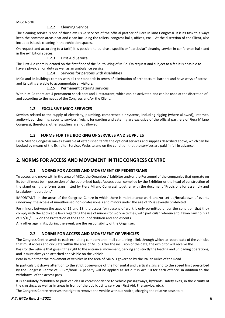<span id="page-5-0"></span>MiCo North.

#### 1.2.2 Cleaning Service

The cleaning service is one of those exclusive services of the official partner of Fiera Milano Congressi. It is its task to always keep the common areas neat and clean including the toilets, congress halls, offices, etc…. At the discretion of the Client, also included is basic cleaning in the exhibition spaces.

On request and according to a tariff, it is possible to purchase specific or "particular" cleaning service in conference halls and in the exhibition spaces.

1.2.3 First Aid Service

<span id="page-5-1"></span>The First Aid room is located on the first floor of the South Wing of MiCo. On request and subject to a fee it is possible to have a physician on duty as well as an ambulance service.

#### 1.2.4 Services for persons with disabilities

<span id="page-5-2"></span>MiCo and its buildings comply with all the standards in terms of elimination of architectural barriers and have ways of access and its paths are able to accommodate all visitors.

#### 1.2.5 Permanent catering services

<span id="page-5-3"></span>Within MiCo there are 4 permanent snack bars and 1 restaurant, which can be activated and can be used at the discretion of and according to the needs of the Congress and/or the Client.

## **1.2 EXCLUSIVE MICO SERVICES**

<span id="page-5-4"></span>Services related to the supply of electricity, plumbing, compressed air systems, including rigging (where allowed), internet, audio-video, cleaning, security services, freight forwarding and catering are exclusive of the official partners of Fiera Milano Congressi, therefore, other Suppliers are not allowed.

#### **1.3 FORMS FOR THE BOOKING OF SERVICES AND SUPPLIES**

<span id="page-5-5"></span>Fiera Milano Congressi makes available at established tariffs the optional services and supplies described above, which can be booked by means of the Exhibitor Services Website and on the condition that the services are paid in full in advance.

# <span id="page-5-7"></span><span id="page-5-6"></span>**2. NORMS FOR ACCESS AND MOVEMENT IN THE CONGRESS CENTRE**

#### **2.1 NORMS FOR ACCESS AND MOVEMENT OF PEDESTRIANS**

To access and move within the area of MiCo, the Organiser / Exhibitor and/or the Personnel of the companies that operate on its behalf must be in possession of the authorised badge/access pass, compiled by the Exhibitor or the head of construction of the stand using the forms transmitted by Fiera Milano Congressi together with the document "Provisions for assembly and breakdown operations".

IMPORTANT! In the areas of the Congress Centre in which there is maintenance work and/or set-up/breakdown of events underway, the access of unauthorised non-professionals and minors under the age of 15 is severely prohibited.

For minors between the ages of 15 and 18, the access for reasons of work is only permitted under the condition that they comply with the applicable laws regarding the use of minors for work activities, with particular reference to Italian Law no. 977 of 17/10/1967 on the Protection of the Labour of children and adolescents.

Any other age limits, during the event, are the responsibility of the Organiser.

## **2.2 NORMS FOR ACCESS AND MOVEMENT OF VEHICLES**

<span id="page-5-8"></span>The Congress Centre sends to each exhibiting company an e-mail containing a link through which to record data of the vehicles that must access and circulate within the area of MiCo. After the inclusion of the data, the exhibitor will receive the

Pass for the vehicle that gives it the right to the entrance, movement, parking and strictly the loading and unloading operations, and it must always be attached and visible on the vehicle.

Bear in mind that the movement of vehicles in the area of MiCo is governed by the Italian Rules of the Road.

In particular, it draws attention to the strict observance of the horizontal and vertical signs and to the speed limit prescribed by the Congress Centre of 30 km/hour. A penalty will be applied as set out in Art. 10 for each offence, in addition to the withdrawal of the access pass.

It is absolutely forbidden to park vehicles in correspondence to vehicle passageways, hydrants, safety exits, in the vicinity of the crossings, as well as in areas in front of the public utility services (First Aid, Fire service, etc.).

The Congress Centre reserves the right to remove the vehicle without notice, charging the relative costs to it.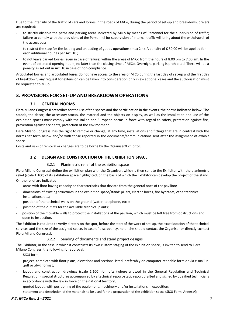Due to the intensity of the traffic of cars and lorries in the roads of MiCo, during the period of set-up and breakdown, drivers are required:

- to strictly observe the paths and parking areas indicated by MiCo by means of Personnel for the supervision of traffic; failure to comply with the provisions of the Personnel for supervision of internal traffic will bring about the withdrawal of the access pass.
- to restrict the stop for the loading and unloading of goods operations (max 2 h). A penalty of  $\epsilon$  50,00 will be applied for each additional hour as per Art. 10.;
- to not leave parked lorries (even in case of failure) within the areas of MiCo from the hours of 8:00 pm to 7:00 am. In the event of extended opening hours, no later than the closing time of MiCo. Overnight parking is prohibited. There will be a penalty as set out in Art. 10 in case of non-compliance.

Articulated lorries and articulated buses do not have access to the area of MiCo during the last day of set-up and the first day of breakdown, any request for extension can be taken into consideration only in exceptional cases and the authorisation must be requested to MiCo.

# <span id="page-6-1"></span><span id="page-6-0"></span>**3. PROVISIONS FOR SET-UP AND BREAKDOWN OPERATIONS**

# **3.1 GENERAL NORMS**

Fiera Milano Congressi prescribes for the use of the spaces and the participation in the events, the norms indicated below. The stands, the decor, the accessory stocks, the material and the objects on display, as well as the installation and use of the exhibition spaces must comply with the Italian and European norms in force with regard to safety, protection against fire, prevention against accidents, protection of the environment.

Fiera Milano Congressi has the right to remove or change, at any time, installations and fittings that are in contrast with the norms set forth below and/or with those reported in the documents/communications sent after the assignment of exhibit space.

<span id="page-6-2"></span>Costs and risks of removal or changes are to be borne by the Organiser/Exhibitor.

## **3.2 DESIGN AND CONSTRUCTION OF THE EXHIBITION SPACE**

#### 3.2.1 Planimetric relief of the exhibition space

<span id="page-6-3"></span>Fiera Milano Congressi define the exhibition plan with the Organiser, which is then sent to the Exhibitor with the planimetric relief (scale 1:100) of its exhibition space highlighted, on the basis of which the Exhibitor can develop the project of the stand. On the relief are indicated:

- areas with floor having capacity or characteristics that deviate from the general ones of the pavilion;
- dimensions of existing structures in the exhibition space/stand: pillars, electric boxes, fire hydrants, other technical installations, etc.;
- position of the technical wells on the ground (water, telephone, etc.);
- position of the outlets for the available technical plants;
- position of the movable walls to protect the installations of the pavilion, which must be left free from obstructions and open to inspection.

The Exhibitor is required to verify directly on the spot, before the start of the work of set-up, the exact location of the technical services and the size of the assigned space. In case of discrepancy, he or she should contact the Organiser or directly contact Fiera Milano Congressi.

## 3.2.2 Sending of documents and stand project designs

<span id="page-6-4"></span>The Exhibitor, in the case in which it constructs its own custom staging of the exhibition space, is invited to send to Fiera Milano Congressi the following for approval:

- SICU form:
- project, complete with floor plans, elevations and sections listed, preferably on computer-readable form or via e-mail in .pdf or .dwg format;
- layout and construction drawings (scale 1:100) for lofts (where allowed in the General Regulation and Technical Regulation), special structures accompanied by a technical report-static report drafted and signed by qualified technicians in accordance with the law in force on the national territory;
- quoted layout, with positioning of the equipment, machinery and/or installations in exposition;
- statement and description of the materials to be used for the preparation of the exhibition space (SICU Form, AnnexA);

## *R.T. MiCo Rev. 2 - 2021* 7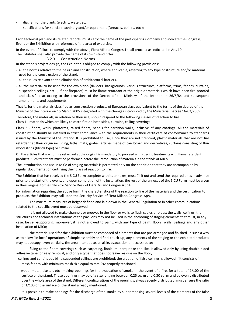- diagram of the plants (electric, water, etc.);
- specifications for special machinery and/or equipment (furnaces, boilers, etc.);

Each technical plan and its related reports, must carry the name of the participating Company and indicate the Congress, Event or the Exhibition with reference of the area of expertise.

In the event of failure to comply with the above, Fiera Milano Congressi shall proceed as indicated in Art. 10. The Exhibitor shall also provide the name of its own stand fitter.

#### 3.2.3 Construction Norms

<span id="page-7-0"></span>In the stand's project design, the Exhibitor is obliged to comply with the following provisions:

- all the norms relative to the design and construction, where applicable, referring to any type of structure and/or material used for the construction of the stand.
- all the rules relevant to the elimination of architectural barriers.
- all the material to be used for the exhibition (dividers, backgrounds, various structures, platforms, trims, fabrics, curtains, suspended ceilings, etc. ), if not fireproof, must be flame retardant at the origin or materials which have been fire-proofed and classified according to the provisions of the Decree of the Ministry of the Interior on 26/6/84 and subsequent amendments and supplements.

That is, for the materials classified as construction products of European class equivalent to the terms of the decree of the Ministry of the Interior on 15 March 2005 integrated with the changes introduced by the Ministerial Decree 16/02/2009.

Therefore, the materials, in relation to their use, should respond to the following classes of reaction to fire: Class 1 - materials which are likely to catch fire on both sides, curtains, ceiling covering;

Class 2 - floors, walls, platforms, raised floors, panels for partition walls, inclusive of any coatings. All the materials of construction should be installed in strict compliance with the requirements in their certificate of conformance to standards issued by the Ministry of the Interior. It is prohibited to use, since they are not fireproof, plastic materials that are not fire retardant at their origin including, laths, mats, grates, articles made of cardboard and derivatives, curtains consisting of thin wood strips (blinds type) or similar.

On the articles that are not fire retardant at the origin it is mandatory to proceed with specific treatments with flame retardant products. Such treatment must be performed before the introduction of materials in the stands at MiCo.

The introduction and use in MiCo of staging materials is permitted only on the condition that they are accompanied by regular documentation certifying their class of reaction to fire.

The Exhibitor that has received the SICU Form complete with its annexes, must fill it out and send the required ones in advance prior to the start of the event, and upon completion of the installation, the rest of the annexes of the SICU Form must be given in their original to the Exhibitor Service Desk of Fiera Milano Congressi SpA.

For information regarding the above form, the characteristics of the reaction to fire of the materials and the certification to produce, the Exhibitor may call upon the Security Service of Fiera Milano Congressi SpA.

The maximum measures of height defined and laid down in the General Regulation or in other communications related to the specific event must be observed.

It is not allowed to make channels or grooves in the floor or walls to flush cables or pipes; the walls, ceilings, the structures and technical installations of the pavilions may not be used in the anchoring of staging elements that must, in any case, be self-supporting; moreover, it is not allowed to paint, with any type of paint, floors, walls, ceilings and any other installation of MiCo;

the material used for the exhibition must be composed of elements that are pre-arranged and finished, in such a way as to allow "in loco" operations of simple assembly and final touch-up; any elements of the staging or the exhibited products may not occupy, even partially, the area intended as an aisle, evacuation or access route;

fixing to the floors coverings such as carpeting, linoleum, parquet or the like, is allowed only by using double-sided adhesive tape for easy removal, and only a type that does not leave residue on the floor;

- ceilings and continuous blind suspended ceilings are prohibited; the creation of false ceilings is allowed if it consists of:

mesh fabrics with minimum mesh size equal to mm 2x2 properly tensioned.

wood, metal, plaster, etc., making openings for the evacuation of smoke in the event of a fire, for a total of 1/100 of the surface of the stand. These openings may be of a size ranging between 0.25 sq. m and 0.30 sq. m and be evenly distributed over the whole area of the stand. Different configurations of the openings, always evenly distributed, must ensure the ratio of 1/100 of the surface of the stand already mentioned.

It is possible to make openings for the discharge of the smoke by superimposing several levels of the elements of the false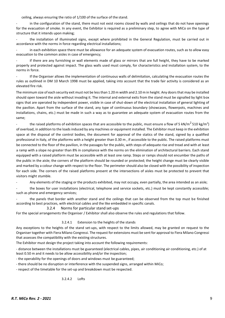ceiling, always ensuring the ratio of 1/100 of the surface of the stand.

in the configuration of the stand, there must not exist rooms closed by walls and ceilings that do not have openings for the evacuation of smoke. In any event, the Exhibitor is required as a preliminary step, to agree with MiCo on the type of structure that it intends upon making;

the installation of illuminated signs, except where prohibited in the General Regulation, must be carried out in accordance with the norms in force regarding electrical installations;

in each exhibition space there must be allowance for an adequate system of evacuation routes, such as to allow easy evacuation to the common aisles in case of emergency;

if there are any furnishing or wall elements made of glass or mirrors that are full height, they have to be marked properly and protected against impact. The glass walls used must comply, for characteristics and installation system, to the norms in force.

If the Organiser allows the implementation of continuous walls of delimitation, calculating the evacuation routes the rules as outlined in DM 10 March 1998 must be applied, taking into account that the trade fair activity is considered as an elevated fire risk.

The minimum size of each security exit must not be less than 1.20 m width and 2.10 m in height. Any doors that may be installed should open toward the aisle without invading it. The internal and external exits from the stand must be signalled by light box signs that are operated by independent power, visible in case of shut-down of the electrical installation of general lighting of the pavilion. Apart from the surface of the stand, any type of continuous boundary (showcases, flowerpots, machines and installations, chains, etc.) must be made in such a way as to guarantee an adequate system of evacuation routes from the same;

- the raised platforms of exhibition spaces that are accessible to the public, must ensure a flow of 5 kN/m<sup>2</sup> 510 kg/m<sup>2</sup>) of overload, in addition to the loads induced by any machines or equipment installed. The Exhibitor must keep in the exhibition space at the disposal of the control bodies, the document for approval of the statics of the stand, signed by a qualified professional in Italy, of the platforms with a height greater than 0.30 m , if accessible to the public. The raised platforms must be connected to the floor of the pavilion, in the passages for the public, with steps of adequate rise and tread and with at least a ramp with a slope no greater than 8% in compliance with the norms on the elimination of architectural barriers. Each stand equipped with a raised platform must be accessible with at least one ramp. Steps or ramps should not encumber the paths of the public in the aisle; the corners of the platform should be rounded or protected; the height change must be clearly visible and marked by a colour change with respect to the floor. The perimeter should also be closed with the possibility of inspection for each side. The corners of the raised platforms present at the intersections of aisles must be protected to prevent that visitors might stumble.

Any elements of the staging or the products exhibited, may not occupy, even partially, the area intended as an aisle;

- the boxes for user installations (electrical, telephone and service sockets, etc.) must be kept constantly accessible; such as phone and emergency services;

the panels that border with another stand and the ceilings that can be observed from the top must be finished according to best practices, with electrical cables and the like embedded in specific canals.

#### <span id="page-8-0"></span>3.2.4 Norms for particular stand set-ups

For the special arrangements the Organiser / Exhibitor shall also observe the rules and regulations that follow.

#### 3.2.4.1 Extension to the heights of the stands

Any exceptions to the heights of the stand set-ups, with respect to the limits allowed, may be granted on request to the Organiser together with Fiera Milano Congressi. The request for extensions must be sent for approval to Fiera Milano Congressi that assesses the compatibility with the existing structures.

The Exhibitor must design the project taking into account the following requirements:

- distance between the installations must be guaranteed (electrical cables, pipes, air conditioning air conditioning, etc.) of at least 0.50 m and it needs to be allow accessibility and/or the inspection;

- the operability for the openings of doors and windows must be guaranteed;

- there should be no disruption or interference with the suspended signs, arranged within MiCo;
- respect of the timetable for the set-up and breakdown must be respected.

3.2.4.2 Lofts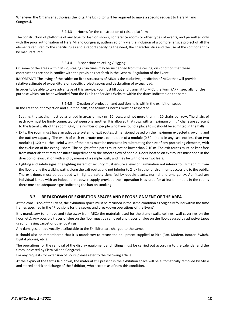Whenever the Organiser authorises the lofts, the Exhibitor will be required to make a specific request to Fiera Milano Congressi.

#### 3.2.4.3 Norms for the construction of raised platforms

The construction of platforms of any type for fashion shows, conference rooms or other types of events, and permitted only with the prior authorisation of Fiera Milano Congressi, authorised only via the inclusion of a comprehensive project of all the elements required by the specific rules and a report specifying the need, the characteristics and the use of the component to be manufactured.

#### 3.2.4.4 Suspensions to ceiling / Rigging

On some of the areas within MiCo, staging structures may be suspended from the ceiling, on condition that these constructions are not in conflict with the provisions set forth in the General Regulation of the Event.

IMPORTANT! The laying of the cables on fixed structures of MiCo is the exclusive jurisdiction of MiCo that will provide relative estimate of expenditure on specific project set-up and declaration of excess load.

In order to be able to take advantage of this service, you must fill out and transmit to MiCo the Form (APP) specially for the purpose which can be downloaded from the Exhibitor Services Website within the dates indicated on the same.

# 3.2.4.5 Creation of projection and audition halls within the exhibition space

In the creation of projection and audition halls, the following norms must be respected:

- Seating: the seating must be arranged in areas of max nr. 10 rows, and not more than nr. 10 chairs per row. The chairs of each row must be firmly connected between one another. It is allowed that rows with a maximum of nr. 4 chairs are adjacent to the lateral walls of the room. Only the number of people who have found a place to sit should be admitted in the halls.
- Exits: the room must have an adequate system of exit routes, dimensioned based on the maximum expected crowding and the outflow capacity. The width of each exit route must be multiple of a module (0.60 m) and in any case not less than two modules (1.20 m) - the useful width of the paths must be measured by subtracting the size of any protruding elements, with the exclusion of fire extinguishers. The height of the paths must not be lower than 2.10 m. The exit routes must be kept free from materials that may constitute impediment to the smooth flow of people. Doors located on exit routes must open in the direction of evacuation with and by means of a simple push, and may be with one or two leafs.
- Lighting and safety signs: the lighting system of security must ensure a level of illumination not inferior to 5 lux at 1 m from the floor along the walking paths along the exit routes and not inferior to 2 lux in other environments accessible to the public. The exit doors must be equipped with lighted safety signs fed by double plants, normal and emergency. Admitted are individual lamps with an independent power supply provided their operation is assured for at least an hour. In the rooms there must be adequate signs indicating the ban on smoking.

#### **3.3 BREAKDOWN OF EXHIBITION SPACES AND RECONSIGNMENT OF THE AREA**

<span id="page-9-0"></span>At the conclusion of the Event, the exhibition space must be returned in the same condition as originally found within the time frames specified in the "Provisions for the set-up and breakdown operations of the Event".

It is mandatory to remove and take away from MiCo the materials used for the stand (walls, ceilings, wall coverings on the floor, etc). Any possible traces of glue on the floor must be removed any traces of glue on the floor, caused by adhesive tapes used for laying carpet or other coatings.

Any damages, unequivocally attributable to the Exhibitor, are charged to the same.

It should also be remembered that it is mandatory to return the equipment supplied to hire (Fax, Modem, Router, Switch, Digital phones, etc.).

The operations for the removal of the display equipment and fittings must be carried out according to the calendar and the times indicated by Fiera Milano Congressi.

For any requests for extension of hours please refer to the following article.

At the expiry of the terms laid down, the material still present in the exhibition space will be automatically removed by MiCo and stored at risk and charge of the Exhibitor, who accepts as of now this condition.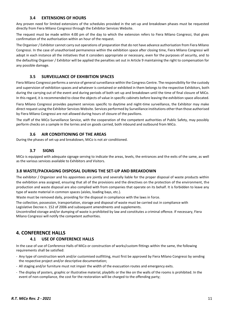#### **3.4 EXTENSIONS OF HOURS**

<span id="page-10-0"></span>Any proven need for limited extensions of the schedules provided in the set-up and breakdown phases must be requested directly from Fiera Milano Congressi through the Exhibitor Services Website.

The request must be made within 4:00 pm of the day to which the extension refers to Fiera Milano Congressi, that gives confirmation of the authorisation within an hour of the request.

The Organiser / Exhibitor cannot carry out operations of preparation that do not have advance authorisation from Fiera Milano Congressi. In the case of unauthorised permanence within the exhibition space after closing time, Fiera Milano Congressi will adopt in each instance all the initiatives that it considers appropriate or necessary, even for the purposes of security, and to the defaulting Organiser / Exhibitor will be applied the penalties set out in Article 9 maintaining the right to compensation for any possible damage.

#### **3.5 SURVEILLANCE OF EXHIBITION SPACES**

<span id="page-10-1"></span>Fiera Milano Congressi performs a service of general surveillance within the Congress Centre. The responsibility for the custody and supervision of exhibition spaces and whatever is contained or exhibited in them belongs to the respective Exhibitors, both during the carrying out of the event and during periods of both set-up and breakdown until the time of final closure of MiCo. In this regard, it is recommended to close the objects of value in specific cabinets before leaving the exhibition space allocated.

Fiera Milano Congressi provides payment services specific to daytime and night-time surveillance, the Exhibitor may make direct request using the Exhibitor Services Website. Services performed by Surveillance institutions other than those authorised by Fiera Milano Congressi are not allowed during hours of closure of the pavilions.

The staff of the MiCo Surveillance Service, with the cooperation of the competent authorities of Public Safety, may possibly perform checks on a sample in the lorries and on goods carried, both inbound and outbound from MiCo.

#### **3.6 AIR CONDITIONING OF THE AREAS**

<span id="page-10-2"></span>During the phases of set-up and breakdown, MiCo is not air conditioned.

#### **3.7 SIGNS**

<span id="page-10-3"></span>MiCo is equipped with adequate signage serving to indicate the areas, levels, the entrances and the exits of the same, as well as the various services available to Exhibitors and Visitors.

#### <span id="page-10-4"></span>**3.8 WASTE/PACKAGING DISPOSAL DURING THE SET-UP AND BREAKDOWN**

The exhibitor / Organizer and his appointees are jointly and severally liable for the proper disposal of waste products within the exhibition area assigned, ensuring that all of the provisions and the directives on the protection of the environment, the production and waste disposal are also complied with from companies that operate on its behalf. It is forbidden to leave any type of waste material in common spaces (aisles, loading bays, etc.).

Waste must be removed daily, providing for the disposal in compliance with the laws in force.

The collection, possession, transportation, storage and disposal of waste must be carried out in compliance with Legislative Decree n. 152 of 2006 and subsequent amendments and supplements.

Uncontrolled storage and/or dumping of waste is prohibited by law and constitutes a criminal offence. If necessary, Fiera Milano Congressi will notify the competent authorities.

# <span id="page-10-6"></span><span id="page-10-5"></span>**4. CONFERENCE HALLS**

#### **4.1 USE OF CONFERENCE HALLS**

In the case of use of Conference Halls of MiCo or construction of works/custom fittings within the same, the following requirements shall be satisfied:

- Any type of construction work and/or customised outfitting, must first be approved by Fiera Milano Congressi by sending the respective project and/or descriptive documentation;
- All staging and/or furniture must not impair the width of the evacuation routes and emergency exits.
- The display of posters, graphic or illustrative material, playbills or the like on the walls of the rooms is prohibited. In the event of non-compliance, the cost for the restoration will be charged to the offending party;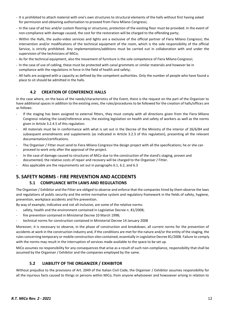- It is prohibited to attach material with one's own structures to structural elements of the halls without first having asked for permission and obtaining authorisation to proceed from Fiera Milano Congressi;
- In the case of ad hoc and/or custom flooring or structures, protection of the existing floor must be provided. In the event of non-compliance with damage caused, the cost for the restoration will be charged to the offending party;
- Within the Halls, the audio-video services and lights are a exclusive of the official partner of Fiera Milano Congressi; the intervention and/or modifications of the technical equipment of the room, which is the sole responsibility of the official Service, is strictly prohibited. Any implementations/additions must be carried out in collaboration with and under the supervision of the technicians of MiCo;
- As for the technical equipment, also the movement of furniture is the sole competence of Fiera Milano Congressi;
- In the case of use of cabling, these must be protected with canal grommets or similar materials and however be in compliance with the regulations in force in the field of health and safety;
- All halls are assigned with a capacity as defined by the competent authorities. Only the number of people who have found a place to sit should be admitted in the halls.

# **4.2 CREATION OF CONFERENCE HALLS**

<span id="page-11-0"></span>In the case where, on the basis of the needs/characteristics of the Event, there is the request on the part of the Organiser to have additional spaces in addition to the existing ones, the rules/procedures to be followed for the creation of halls/offices are as follows:

- If the staging has been assigned to external fitters, they must comply with all directions given from the Fiera Milano Congressi relating the Level/reference area, the existing legislation on health and safety of workers as well as the norms given in Article 3.2.4.5 of this regulation.
- All materials must be in conformance with what is set out in the Decree of the Ministry of the interior of 26/6/84 and subsequent amendments and supplements (as indicated in Article 3.2.3 of this regulation), presenting all the relevant documentation/certifications.
- The Organiser / Fitter must send to Fiera Milano Congressi the design project with all the specifications; he or she can proceed to work only after the approval of the project.
- In the case of damage caused to structures of MiCo due to the construction of the stand's staging, proven and documented, the relative costs of repair and recovery will be charged to the Organiser / Fitter.
- Also applicable are the requirements set out in paragraphs 6.1, 6.2, and 6.3

# <span id="page-11-2"></span><span id="page-11-1"></span>**5. SAFETY NORMS - FIRE PREVENTION AND ACCIDENTS**

## **5.1 COMPLIANCE WITH LAWS AND REGULATIONS**

The Organiser / Exhibitor and the Fitter are obliged to observe and enforce that the companies hired by them observe the laws and regulations of public security and the entire normative system and regulatory framework in the fields of safety, hygiene, prevention, workplace accidents and fire prevention.

By way of example, indicative and not all-inclusive, are some of the relative norms:

- safety, health and the environment contained in Legislative Decree n. 81/2008;
- fire prevention contained in Ministerial Decree 10 March 1998;
- technical norms for construction contained in Ministerial Decree 14 January 2008

Moreover, it is necessary to observe, in the phase of construction and breakdown, all current norms for the prevention of accidents at work in the construction industry and, if the conditions are met for the nature and/or the entity of the staging, the rules concerning temporary or mobile construction sites contained, essentially in Legislative Decree 81/2008. Failure to comply with the norms may result in the interruption of services made available to the space to be set up.

MiCo assumes no responsibility for any consequences that arise as a result of such non-compliance, responsibility that shall be assumed by the Organiser / Exhibitor and the companies employed by the same.

# **5.2 LIABILITY OF THE ORGANIZER / EXHIBITOR**

<span id="page-11-3"></span>Without prejudice to the provisions of Art. 2049 of the Italian Civil Code, the Organiser / Exhibitor assumes responsibility for all the injurious facts caused to things or persons within MiCo, from anyone whatsoever and howsoever arising in relation to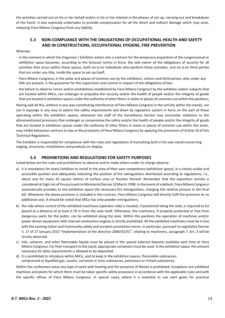the activities carried out on his or her behalf and/or in his or her interest in the phases of set-up, carrying out and breakdown of the Event. It also expressly undertakes to provide compensation for all the direct and indirect damage which may arise, releasing Fiera Milano Congressi from any liability.

## **5.3 NON-COMPLIANCE WITH THE OBLIGATIONS OF OCCUPATIONAL HEALTH AND SAFETY AND IN CONSTRUCTIONS, OCCUPATIONAL HYGIENE, FIRE PREVENTION**

#### <span id="page-12-0"></span>Whereas:

- in the moment in which the Organiser / Exhibitor enters into a contract for the temporary acquisition of the congressional or exhibition space becomes, according to the forecast norms in force, the sole owner of the obligations of security for all activities that occur within these spaces, both vis-à-vis individuals who perform these activities, and vis-à-vis third parties that are under any title, inside the space to set-up itself;
- Fiera Milano Congressi, in the aisles and places of common use by the exhibitors, visitors and third parties, who under any title are present, is the guarantor for the supervision and control in respect of the obligations of law;
- the failure to observe norms and/or prohibitions established by Fiera Milano Congressi by the exhibitor and/or subjects that are located within MiCo, can endanger or prejudice the security and/or the health of people and/or the integrity of goods that are located in exhibition spaces under the authority of other fitters in aisles or places of common use within the pavilions;

Having said all this, without in any way constituting interference of Fiera Milano Congressi in the activity within the stands, nor can it expunge in any way or extent the safety requirements laid down by regulatory system in force on the part of those operating within the exhibition spaces, whenever the staff of the Surveillance Service may encounter violations to the aforementioned provisions that endanger or compromise the safety and/or the health of people and/or the integrity of goods that are located in exhibition spaces under the authority of other fitters in aisles or places of common use within the areas, may inhibit behaviour contrary to law or the provisions of Fiera Milano Congressi by applying the provisions of Article 10 of this Technical Regulations.

The Exhibitor is responsible for compliance with the rules and regulations of everything built in his own stand concerning staging, structures, installations and products on display.

#### **5.4 PROHIBITIONS AND REGULATIONS FOR SAFETY PURPOSES**

<span id="page-12-1"></span>Listed below are the rules and prohibitions to observe and to make others under its charge observe:

- a) it is mandatory for every Exhibitor to install in the area of their own competence (exhibition space), in a clearly visible and accessible position and adequately indicating the position of fire extinguishers distributed according to regulations, i.e., about one for every 50 square metres of surface area or fraction thereof. Remember that the exposition activity is considered at high risk of fire pursuant to Ministerial Decree 10 March 1998. In the event of a default, Fiera Milano Congressi automatically provides to the exhibition space the necessary fire extinguishers, charging the relative amount in the final bill. Whenever the above provision is included in the contract, Fiera Milano Congressi will directly fulfil the provision at no additional cost. It should be noted that MiCo has only powder extinguishers;
- b) the side where control of the exhibited machinery (operator side) is located, if positioned along the aisle, is required to be placed at a distance of at least 0.70 m from the aisle itself. Otherwise, the machinery, if properly protected or free from dangerous parts for the public, can be exhibited along the aisle. Within the pavilions the operation of machines and/or power driven equipment with internal combustion engines is strictly prohibited. All the exhibited machinery must be in line with the existing Italian and Community safety and accident prevention norms. In particular, pursuant to Legislative Decree n. 17 of 27 January 2010 "Implementation of the directive 2006/42/EC", relating to machinery, paragraph 7, Art. 3 will be strictly observed.
- c) Inks, solvents, and other flammable liquids must be placed in the special external deposits available each time at Fiera Milano Congressi. For their transport to the stand, appropriate containers must be used. In the exhibition space, the amount necessary for daily requirements is allowed to be deposited.
- d) It is prohibited to introduce within MiCo, and to keep in the exhibition spaces, flammable substances, compressed or liquefied gas, caustic, corrosive or toxic substances, poisonous or irritant substances;

Within the conference areas any type of work with heating and the presence of flames is prohibited. Exceptions are exhibited machines and plants for which there must be taken specific safety provisions in accordance with the applicable rules and with the specific offices of Fiera Milano Congressi. In special cases, where it is essential to use inert gases for practical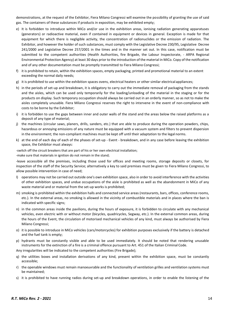demonstrations, at the request of the Exhibitor, Fiera Milano Congressi will examine the possibility of granting the use of said gas. The containers of these substances if products in exposition, may be exhibited empty;

- e) It is forbidden to introduce within MiCo and/or use in the exhibition areas, ionising radiation generating apparatuses (generators) or radioactive material, even if contained in equipment or devices in general. Exception is made for that equipment for which there is negligible activity, the concentration of radionuclides or the emission of radiation. The Exhibitor, and however the holder of such substances, must comply with the Legislative Decree 230/95, Legislative Decree 241/2000 and Legislative Decree 257/2001 in the times and in the manner set out. In this case, notification must be submitted to the competent authorities (Health Authorities, fire Brigade, the Labour Inspectorate, - ARPA Regional Environmental Protection Agency) at least 30 days prior to the introduction of the material in MiCo. Copy of the notification and of any other documentation must be promptly transmitted to Fiera Milano Congressi;
- f) it is prohibited to retain, within the exhibition spaces, empty packaging, printed and promotional material to an extent exceeding the normal daily needs;
- g) it is prohibited to use within the exhibition spaces ovens, electrical heaters or other similar electrical appliances;
- h) in the periods of set-up and breakdown, it is obligatory to carry out the immediate removal of packaging from the stands and the aisles, which can be used only temporarily for the loading/unloading of the material in the staging or for the products on display. Such temporary occupation should always be carried out in an orderly manner, so as not to make the aisles completely unusable. Fiera Milano Congressi reserves the right to intervene in the event of non-compliance with costs to be borne by the Exhibitor;
- i) it is forbidden to use the gaps between inner and outer walls of the stand and the areas below the raised platforms as a deposit of any type of material;
- j) the machines (circular saws, planers, drills, sanders, etc.) that are able to produce during the operation powders, chips, hazardous or annoying emissions of any nature must be equipped with a vacuum system and filters to prevent dispersion in the environment; the non-compliant machines must be kept off until their adaptation to the legal norms.
- k) at the end of each day of each of the phases of set-up Event breakdown, and in any case before leaving the exhibition space, the Exhibitor must always:

-switch off the circuit breakers that are part of his or her own electrical installation; -make sure that materials in ignition do not remain in the stand;

-leave accessible all the premises, including those used for offices and meeting rooms, storage deposits or closets, for inspection of the staff of the Security Service; alternatively a key to said premises must be given to Fiera Milano Congressi, to allow possible intervention in case of need;

- l) operations may not be carried out outside one's own exhibition space, also in order to avoid interference with the activities of other exhibition spaces, and undue occupations of the aisle is prohibited as well as the abandonment in MiCo of any waste material and or material from the set-up works is prohibited;
- m) smoking is prohibited within the exhibition halls and connected service areas (restaurants, bars, offices, conference rooms, etc.). In the external areas, no smoking is allowed in the vicinity of combustible materials and in places where the ban is indicated with specific signs;
- n) in the common areas inside the pavilions, during the hours of exposure, it is forbidden to circulate with any mechanical vehicles, even electric with or without motor (bicycles, quadricycles, Segway, etc.). In the external common areas, during the hours of the Event, the circulation of motorised mechanical vehicles of any kind, must always be authorised by Fiera Milano Congressi;
- o) it is possible to introduce in MiCo vehicles (cars/motorcycles) for exhibition purposes exclusively if the battery is detached and the fuel tank is empty;
- p) hydrants must be constantly visible and able to be used immediately. It should be noted that rendering unusable instruments for the extinction of a fire is a criminal offence pursuant to Art. 451 of the Italian Criminal Code.

Any irregularities will be indicated to the competent authorities (Fire Brigade);

- q) the utilities boxes and installation derivations of any kind, present within the exhibition space, must be constantly accessible;
- r) the openable windows must remain manoeuvrable and the functionality of ventilation grilles and ventilation systems must be maintained;
- s) it is prohibited to have running radios during set-up and breakdown operations, in order to enable the listening of the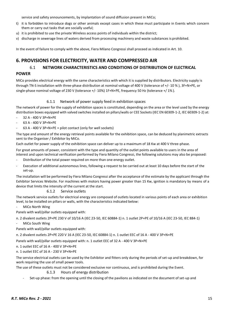service and safety announcements, by implantation of sound diffusion present in MiCo;

- t) it is forbidden to introduce dogs or other animals except cases in which these must participate in Events which concern them or carry out tasks that are socially useful;
- u) it is prohibited to use the private Wireless access points of individuals within the district;
- v) discharge in sewerage lines of waters derived from processing machinery and waste substances is prohibited.

In the event of failure to comply with the above, Fiera Milano Congressi shall proceed as indicated in Art. 10.

# <span id="page-14-0"></span>**6. PROVISIONS FOR ELECTRICITY, WATER AND COMPRESSED AIR**

# 6.1 **NETWORK CHARACTERISTICS AND CONDITIONS OF DISTRIBUTION OF ELECTRICAL**

#### **POWER**

MiCo provides electrical energy with the same characteristics with which it is supplied by distributors. Electricity supply is through TN-S installation with three-phase distribution at nominal voltage of 400 V (tolerance of +/- 10 % ), 3F+N+PE, or single-phase nominal voltage of 230 V (tolerance +/- 10%) 1F+N+PE, frequency 50 Hz (tolerance +/ 1% ).

#### 6.1.1 Network of power supply feed in exhibition spaces

<span id="page-14-1"></span>The network of power for the supply of exhibition spaces is constituted, depending on the area or the level used by the energy distribution boxes equipped with valved switches installed on pillars/walls or CEE Sockets (IEC EN 60309-1-2, IEC 60309-1-2) at:

- 32 A 400 V 3P+N+PE
- 63 A 400 V 3P+N+PE
- 63 A 400 V 3P+N+PE + pilot contact (only for well sockets)

The type and amount of the energy retrieval points available for the exhibition space, can be deduced by planimetric extracts sent to the Organiser / Exhibitor by MiCo.

Each outlet for power supply of the exhibition space can deliver up to a maximum of 18 Kw at 400 V three-phase.

For great amounts of power, consistent with the type and quantity of the outlet points available to users in the area of interest and upon technical verification performed by Fiera Milano Congressi, the following solutions may also be proposed:

- Distribution of the total power required on more than one energy outlet.
- Execution of additional autonomous lines, following a request to be carried out at least 10 days before the start of the set-up.

The installation will be performed by Fiera Milano Congressi after the acceptance of the estimate by the applicant through the Exhibitor Services Website. For machines with motors having power greater than 15 Kw, ignition is mandatory by means of a device that limits the intensity of the current at the start.

#### 6.1.2 Service outlets

<span id="page-14-2"></span>The network service outlets for electrical energy are composed of outlets located in various points of each area or exhibition level, to be installed on pillars or walls, with the characteristics indicated below:

MiCo North Wing

Panels with wall/pillar outlets equipped with:

- n. 2 divalent outlets 2P+PE 230 V of 10/16 A (IEC 23-50, IEC 60884-1) n. 1 outlet 2P+PE of 10/16 A (IEC 23-50, IEC 884-1)
- MiCo South Wing

Panels with wall/pillar outlets equipped with:

n. 2 divalent outlets 2P+PE 220 V 16 A (IEC 23-50, IEC 60884-1) n. 1 outlet EEC of 16 A - 400 V 3P+N+PE

Panels with wall/pillar outlets equipped with: n. 1 outlet EEC of 32 A - 400 V 3P+N+PE

n. 1 outlet EEC of 16 A - 400 V 3P+N+PE

#### n. 1 outlet EEC of 16 A - 230 V 3P+N+PE

The service electrical outlets can be used by the Exhibitor and fitters only during the periods of set-up and breakdown, for work requiring the use of small power tools.

<span id="page-14-3"></span>The use of these outlets must not be considered exclusive nor continuous, and is prohibited during the Event.

6.1.3 Hours of energy distribution

Set-up phase: from the opening until the closing of the pavilions as indicated on the document of set-up and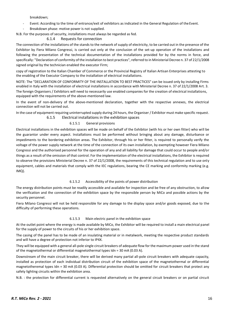breakdown;

- Event: According to the time of entrance/exit of exhibitors as indicated in the General Regulation of the Event.
- Breakdown phase: motive power is not supplied.

<span id="page-15-0"></span>N.B. For the purposes of security, installations must always be regarded as fed.

#### 6.1.4 Requests for connection

The connection of the installations of the stands to the network of supply of electricity, to be carried out in the presence of the Exhibitor by Fiera Milano Congressi, is carried out only at the conclusion of the set-up operation of the installations and following the presentation of the technical documentation of the installations provided for by the norms in force, and specifically: "Declaration of conformity of the installation to best practices", referred to in Ministerial Decree n. 37 of 22/1/2008 signed original by the technician enabled the executor Firm;

copy of registration to the Italian Chamber of Commerce or the Provincial Registry of Italian Artisan Enterprises attesting to the enabling of the Executor Company to the installation of electrical installations.

NOTE: The "DECLARATION OF CONFORMITY OF THE INSTALLATION TO BEST PRACTICES" can be issued only by installing Firms enabled in Italy with the installation of electrical installations in accordance with Ministerial Decree n. 37 of 22/1/2008 Art. 3. The foreign Organisers / Exhibitors will need to necessarily use enabled companies for the creation of electrical installations, equipped with the requirements of the above-mentioned law.

In the event of non-delivery of the above-mentioned declaration, together with the respective annexes, the electrical connection will not be carried out.

<span id="page-15-1"></span>In the case of equipment requiring uninterrupted supply during 24 hours, the Organiser / Exhibitor must make specific request. 6.1.5 Electrical installations in the exhibition spaces

#### 6.1.5.1 General provisions

Electrical installations in the exhibition spaces will be made on behalf of the Exhibitor (with his or her own fitter) who will be the guarantor under every aspect. Installations must be performed without bringing about any damage, disturbance or impediments to the bordering exhibition areas. The Exhibitor, through his or her fitter, is required to personally verify the voltage of the power supply network at the time of the connection of its own installation, by exempting however Fiera Milano Congressi and the authorised personnel for the operation of any and all liability for damage that could occur to people and/or things as a result of the omission of that control. For the implementation of the electrical installations, the Exhibitor is required to observe the provisions Ministerial Decree n. 37 of 22/1/2008, the requirements of this technical regulation and to use only equipment, cables and materials that comply with the IEC regulations, bearing the CE marking and conformity marking (e.g. IMQ).

#### 6.1.5.2 Accessibility of the points of power distribution

The energy distribution points must be readily accessible and available for inspection and be free of any obstruction, to allow the verification and the connection of the exhibition space by the responsible person by MiCo and possible actions by the security personnel.

Fiera Milano Congressi will not be held responsible for any damage to the display space and/or goods exposed, due to the difficulty of performing these operations.

#### 6.1.5.3 Main electric panel in the exhibition space

At the outlet point where the energy is made available by MiCo, the Exhibitor will be required to install a main electrical panel for the supply of power to the circuits of his or her exhibition space.

The casing of the panel has to be made of an insulating material or in metalwork, meeting the respective product standards and will have a degree of protection not inferior to IP4X.

They will be equipped with a general all-pole single circuit breakers of adequate flow for the maximum power used in the stand of the magnetothermal or differential magnetothermal types Idn = 30 mA (0.03 A).

Downstream of the main circuit breaker, there will be derived many partial all-pole circuit breakers with adequate capacity, installed as protection of each individual distribution circuit of the exhibition space of the magnetothermal or differential magnetotheremal types Idn = 30 mA (0.03 A). Differential protection should be omitted for circuit breakers that protect any safety lighting circuits within the exhibition area.

N.B. : the protection for differential current is requested alternatively on the general circuit breakers or on partial circuit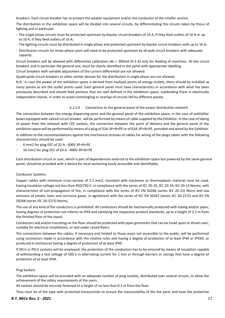breakers. Each circuit breaker has to protect the weaker equipment and/or the conductor of the smaller section.

The distribution in the exhibition space will be divided into several circuits, by differentiating the circuits taken by those of lighting and in particular:

- The single phase circuits must be protected upstream by bipolar circuit breakers of 10 A, if they feed outlets of 10 A or up to 16 A, if they feed outlets of 16 A;
- The lighting circuits must be distributed in single phase and protected upstream by bipolar circuit breakers with up to 16 A;
- Distribution circuits for three-phase users will need to be protected upstream by all-pole circuit breakers with adequate capacity.

Circuit breakers will be allowed with differential calibration Idn = 300mA (0.3 A) only for feeding of machines. All the circuit breakers and in particular the general one, must be clearly identified in the panel with appropriate labelling.

Circuit breakers with variable adjustment of the current differential are not allowed.

Quadrupole circuit breakers or other similar devices for the distribution in single phase are not allowed.

N.B.: in case the power of the exhibition space is derived from multiple points of energy outlets, there should be installed as many panels as are the outlet points used. Each general panel must have characteristics in accordance with what has been previously described and should feed portions that are well defined in the exhibition space, subdividing them in electrically independent islands, in order to avoid commingling or overlap of circuits fed by different panels.

#### 6.1.5.4 Connection to the general panel of the power distribution network

The connection between the energy dispensing point and the general panel of the exhibition space, in the case of wall/pillar boxes equipped with valved circuit breaker, will be performed by means of cable supplied by the Exhibitor. In the case of taking of power from the network with CEE sockets, the connection between the point of delivery and the general panel of the exhibition space will be performed by means of a plug of 32A-3P+N+PE or of 63A-3P+N+PE, provided and wired by the Exhibitor.

In addition to the recommendations against the mechanical stresses of cables for wiring of the plugs cables with the following characteristics should be used:

- 6 mm2 for plug EEC of 32 A 400V 3P+N+PE
- 16 mm2 for plug EEC of 63 A 400V 3P+N+PE

Each distribution circuit or user, which is part of dependencies external to the exhibition space but powered by the same general panel, should be provided with a device for local sectioning easily accessible and identifiable.

#### Conductor Systems

Copper cables with minimum cross-section of 2.5 mm2, insulated with elastomer or thermoplastic material must be used, having insulation voltage not less than 450/750 V, in compliance with the series of IEC 20-20, IEC 20-19, IEC 20-13 Norms, with characteristics of non-propagation of fire, in compliance with the series of IEC EN 50266 (series IEC 20-22) Norm and low emission of smoke, toxic and corrosive gases, in agreement with the series of IEC EN 50267 (series IEC 20-37/2) and IEC EN 50268 (series IEC 20-37/3) Norms.

The use of any kind of flat conductors is prohibited. All conductors should be mechanically protected with tubing and/or pipes, having degrees of protection not inferior to IP4X and satisfying the respective product standards, up to a height of 2.5 m from the finished floor of the stand.

Conductors laid and/or transiting on the floor should be protected with pipes grommets that can be tread upon or driven over, suitable for electrical installations, or laid under raised floors.

The connections between the cables, if necessary and limited to those areas not accessible to the public, will be performed using connectors made in accordance with the relative rules and having a degree of protection of at least IP4X or IPXXD, or produced in enclosures having a degree of protection of at least IP4X.

If SELV or PELV systems will be employed, the protection of the conductors has to be ensured by means of insulation capable of withstanding a test voltage of 500 V in alternating current for 1 min or through barriers or casings that have a degree of protection of at least IP4X.

#### Plug Sockets

The exhibition space will be provided with an adequate number of plug sockets, distributed over several circuits, to allow the achievement of the safety requirements of the users.

All sockets should be securely fastened to a height of no less than 0.2 m from the floor.

They must be of the type with protected honeycombs to ensure the inaccessibility of the live parts and have the protective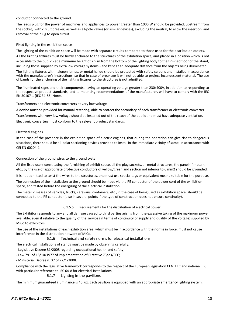#### conductor connected to the ground.

The leads plug for the power of machines and appliances to power greater than 1000 W should be provided, upstream from the socket, with circuit breaker, as well as all-pole valves (or similar devices), excluding the neutral, to allow the insertion and removal of the plug to open circuit.

#### Fixed lighting in the exhibition space

The lighting of the exhibition space will be made with separate circuits compared to those used for the distribution outlets. All the lighting fixtures must be firmly anchored to the structures of the exhibition space, and placed in a position which is not accessible to the public - at a minimum height of 2.5 m from the bottom of the lighting body to the finished floor of the stand, including those supplied by extra low voltage systems - and kept at an adequate distance from the objects being illuminated. The lighting fixtures with halogen lamps, or metal halide should be protected with safety screens and installed in accordance with the manufacturer's instructions, so that in case of breakage it will not be able to project incandescent material. The use of bands for the anchoring of the lighting fixtures to the structures is not admitted.

The illuminated signs and their components, having an operating voltage greater than 230/400V, in addition to responding to the respective product standards, and to mounting recommendations of the manufacturer, will have to comply with the IEC EN 50107-1 (IEC 34-86) Norm.

#### Transformers and electronic converters at very low voltage

A device must be provided for manual restoring, able to protect the secondary of each transformer or electronic converter.

Transformers with very low voltage should be installed out of the reach of the public and must have adequate ventilation.

Electronic converters must conform to the relevant product standards.

#### Electrical engines

In the case of the presence in the exhibition space of electric engines, that during the operation can give rise to dangerous situations, there should be all-polar sectioning devices provided to install in the immediate vicinity of same, in accordance with CEI EN 60204-1.

#### Connection of the ground wires to the ground system

All the fixed users constituting the furnishing of exhibit space, all the plug sockets, all metal structures, the panel (if metal), etc., by the use of appropriate protective conductors of yellow/green and section not inferior to 6 mm2 should be grounded.

It is not admitted to twist the wires to the structures, one must use special tags or equivalent means suitable for the purpose.

The connection of the installation to the ground should be made via the PE conductor of the power cord of the exhibition space, and tested before the energizing of the electrical installation.

The metallic masses of vehicles, trucks, caravans, containers, etc., in the case of being used as exhibition space, should be connected to the PE conductor (also in several points if the type of construction does not ensure continuity).

# 6.1.5.5 Requirements for the distribution of electrical power

The Exhibitor responds to any and all damage caused to third parties arising from the excessive taking of the maximum power available, even if relative to the quality of the service (in terms of continuity of supply and quality of the voltage) supplied by MiCo to exhibitors.

The use of the installations of each exhibition area, which must be in accordance with the norms in force, must not cause interference in the distribution network of MiCo.

## 6.1.6 Technical and safety norms for electrical installations

<span id="page-17-0"></span>The electrical installations of stands must be made by observing carefully:

- Legislative Decree 81/2008 regarding occupational health and safety;

- Law 791 of 18/10/1977 of implementation of Directive 73/23/EEC;
- Ministerial Decree n. 37 of 22/1/2008.

Compliance with the legislative framework corresponds to the respect of the European legislation CENELEC and national IEC with particular reference to IEC 64-8 for electrical installations.

## 6.1.7 Lighting in the pavilions

<span id="page-17-1"></span>The minimum guaranteed illuminance is 40 lux. Each pavilion is equipped with an appropriate emergency lighting system.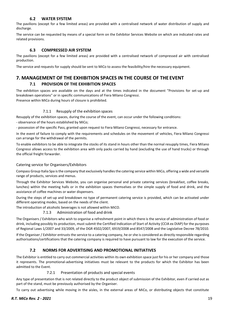#### **6.2 WATER SYSTEM**

The pavilions (except for a few limited areas) are provided with a centralised network of water distribution of supply and discharge.

The service can be requested by means of a special form on the Exhibitor Services Website on which are indicated rates and related provisions.

#### **6.3 COMPRESSED AIR SYSTEM**

<span id="page-18-0"></span>The pavilions (except for a few limited areas) are provided with a centralised network of compressed air with centralised production.

The service and requests for supply should be sent to MiCo to assess the feasibility/hire the necessary equipment.

# <span id="page-18-2"></span><span id="page-18-1"></span>**7. MANAGEMENT OF THE EXHIBITION SPACES IN THE COURSE OF THE EVENT 7.1 PROVISION OF THE EXHIBITION SPACES**

The exhibition spaces are available on the days and at the times indicated in the document "Provisions for set-up and breakdown operations" or in specific communications of Fiera Milano Congressi. Presence within MiCo during hours of closure is prohibited.

#### 7.1.1 Resupply of the exhibition spaces

<span id="page-18-3"></span>Resupply of the exhibition spaces, during the course of the event, can occur under the following conditions:

- observance of the hours established by MiCo;

- possession of the specific Pass, granted upon request to Fiera Milano Congressi, necessary for entrance.

In the event of failure to comply with the requirements and schedules on the movement of vehicles, Fiera Milano Congressi can arrange for the withdrawal of the permits.

To enable exhibitors to be able to integrate the stocks of its stand in hours other than the normal resupply times, Fiera Milano Congressi allows access to the exhibition area with only packs carried by hand (excluding the use of hand trucks) or through the official freight forwarder.

#### <span id="page-18-4"></span>Catering service for Organisers/Exhibitors

Compass Group Italia Spa is the company that exclusively handles the catering service within MiCo, offering a wide and versatile range of products, services and menus.

Through the Exhibitor Services Website, you can organise personal and private catering services (breakfast, coffee breaks, lunches) within the meeting halls or in the exhibition spaces themselves or the simple supply of food and drink, and the assistance of coffee machines or water dispensers.

During the steps of set-up and breakdown no type of permanent catering service is provided, which can be activated under different operating modes, based on the needs of the client.

<span id="page-18-5"></span>The introduction of alcoholic beverages is not allowed within MiCO.

7.1.3 Administration of food and drink

The Organisers / Exhibitors who wish to organise a refreshment point in which there is the service of administration of food or drink, including possibly its production, must submit the Certified Indication of Start of Activity (CCIA ex DIAP) for the purposes of Regional Laws 1/2007 and 33/2009, of the DGR 4502/2007, 6919/2008 and 8547/2008 and the Legislative Decree 78/2010.

If the Organiser / Exhibitor entrusts the service to a catering company, he or she is considered as directly responsible regarding authorisations/certifications that the catering company is required to have pursuant to law for the execution of the service.

## **7.2 NORMS FOR ADVERTISING AND PROMOTIONAL INITIATIVES**

<span id="page-18-6"></span>The Exhibitor is entitled to carry out commercial activities within its own exhibition space just for his or her company and those it represents. The promotional-advertising initiatives must be relevant to the products for which the Exhibitor has been admitted to the Event.

#### 7.2.1 Presentation of products and special events

<span id="page-18-7"></span>Any type of presentation that is not related directly to the product object of submission of the Exhibitor, even if carried out as part of the stand, must be previously authorised by the Organiser.

To carry out advertising while moving in the aisles, in the external areas of MiCo, or distributing objects that constitute

#### *R.T. MiCo Rev. 2 - 2021* 19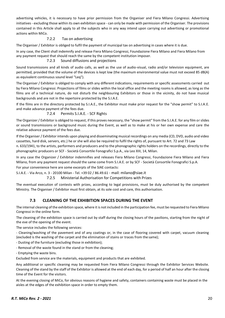advertising vehicles, it is necessary to have prior permission from the Organiser and Fiera Milano Congressi. Advertising initiatives - excluding those within its own exhibition space - can only be made with permission of the Organiser. The provisions contained in this Article shall apply to all the subjects who in any way intend upon carrying out advertising or promotional actions within MiCo.

#### 7.2.2 Tax on advertising

<span id="page-19-0"></span>The Organiser / Exhibitor is obliged to fulfil the payment of municipal tax on advertising in cases where it is due.

In any case, the Client shall indemnify and release Fiera Milano Congressi, Foundazione Fiera Milano and Fiera Milano from any payment request that should reach the same by the competent institution imposer.

#### 7.2.3 Sound diffusions and projections

<span id="page-19-1"></span>Sound transmissions and all kinds of audio calls, as well as the use of audio-visual, radio and/or television equipment, are permitted, provided that the volume of the devices is kept low (the maximum environmental value must not exceed 85 dB(A) as equivalent continuous sound level "Leq").

The Organiser / Exhibitor is obliged to comply with any different indications, requirements or specific assessments carried out by Fiera Milano Congressi. Projections of films or slides within the local office and the meeting rooms is allowed, as long as the films are of a technical nature, do not disturb the neighbouring Exhibitors or those in the vicinity, do not have musical backgrounds and are not in the repertoire protected by the S.I.A.E.

If the films are in the directory protected by S.I.A.E., the Exhibitor must make prior request for the "show permit" to S.I.A.E. and make advance payment of the fees due.

7.2.4 Permits S.I.A.E. - SCF Rights

<span id="page-19-2"></span>The Organizer / Exhibitor is obliged to request, if this proves necessary, the "show permit" from the S.I.A.E. for any film or slides or sound transmissions or background music during the Event, as well as to make at his or her own expense and care the relative advance payment of the fees due.

If the Organiser / Exhibitor intends upon playing and disseminating musical recordings on any media (CD, DVD, audio and video cassettes, hard disk, servers, etc.) he or she will also be required to fulfil the rights of, pursuant to Art. 72 and 73 Law n. 633/1941, to the artists, performers and producers and to the phonographic rights holders on the recordings, directly to the phonographic producers or SCF - Società Consortile Fonografici S.p.A., via Leo XIII, 14, Milan.

In any case the Organizer / Exhibitor indemnifies and releases Fiera Milano Congressi, Foundazione Fiera Milano and Fiera Milano, from any payment request should the same come from S.I.A.E. or by SCF - Società Consortile Fonografici S.p.A.

For your convenience here are some excerpts of the SIAE contacts:

<span id="page-19-3"></span>S.I.A.E. - Via Arco, n. 3 - 20100 Milan - Tel. +39 02 / 86.49.61 - mail: [milano@siae.it](mailto:milano@siae.it)

7.2.5 Ministerial Authorisation for Competitions with Prizes

The eventual execution of contests with prizes, according to legal provisions, must be duly authorised by the competent Ministry. The Organiser / Exhibitor must first obtain, at its sole cost and care, this authorisation.

# **7.3 CLEANING OF THE EXHIBITION SPACES DURING THE EVENT**

<span id="page-19-4"></span>The internal cleaning of the exhibition space, where it is not included in the participation fee, must be requested to Fiera Milano Congressi in the online form.

The cleaning of the exhibition space is carried out by staff during the closing hours of the pavilions, starting from the night of the eve of the opening of the event.

The service includes the following services:

- Cleaning/washing of the pavement and of any coatings or, in the case of flooring covered with carpet, vacuum cleaning (excluded is the washing of the carpet and the elimination of stains or traces from the same);

- Dusting of the furniture (excluding those in exhibition);

- Removal of the waste found in the stand or from the cleaning;

- Emptying the waste bins.

Excluded from service are the materials, equipment and products that are exhibited.

Any additional or specific cleaning may be requested from Fiera Milano Congressi through the Exhibitor Services Website. Cleaning of the stand by the staff of the Exhibitor is allowed at the end of each day, for a period of half an hour after the closing time of the Event for the visitors.

At the evening closing of MiCo, for obvious reasons of hygiene and safety, containers containing waste must be placed in the aisles at the edges of the exhibition space in order to empty them.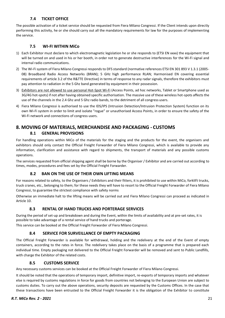## **7.4 TICKET OFFICE**

<span id="page-20-0"></span>The possible activation of a ticket service should be requested from Fiera Milano Congressi. If the Client intends upon directly performing this activity, he or she should carry out all the mandatory requirements for law for the purposes of implementing the service.

## **7.5 WI-FI WITHIN MiCo**

- <span id="page-20-1"></span>1) Each Exhibitor must declare to which electromagnetic legislation he or she responds to (ETSI EN xxxx) the equipment that will be turned on and used in his or her booth, in order not to generate destructive interferences for the Wi-Fi signal and internal radio communications.
- 2) The Wi-Fi system of Fiera Milano Congressi responds to DFS standard (normative references ETSI EN 301 893 V 1.3.1 (2005- 08) Broadband Radio Access Networks (BRAN); 5 GHz high performance RLAN; Harmonised EN covering essential requirements of article 3.2 of the R&TTE Directive) in terms of response to any radar signals, therefore the exhibitors must pay attention to radiation in the 5 Ghz band generated by equipment in their possession.
- 3) Exhibitors are not allowed to use personal Hot-Spot Wi-Fi (Access Points, ad hoc networks, Tablet or Smartphone used as 3G/4G hot-spots) if not after having obtained specific authorisation. The massive use of these wireless hot-spots affects the use of the channels in the 2.4 Ghz and 5 Ghz radio bands, to the detriment of all congress users.
- 4) Fiera Milano Congressi is authorised to use the IDS/IPS (Intrusion Detection/Intrusion Protection System) function on its own Wi-Fi system in order to limit and isolate "rogue" or unauthorised Access Points, in order to ensure the safety of the Wi-Fi network and connections of congress users.

# <span id="page-20-3"></span><span id="page-20-2"></span>**8. MOVING OF MATERIALS, MERCHANDISE AND PACKAGING - CUSTOMS 8.1 GENERAL PROVISIONS**

For handling operations within MiCo of the materials for the staging and the products for the event, the organisers and exhibitors should only contact the Official Freight Forwarder of Fiera Milano Congressi, which is available to provide any information, clarification and assistance with regard to shipments, the transport of materials and any possible customs operations.

<span id="page-20-4"></span>The services requested from official shipping agent shall be borne by the Organiser / Exhibitor and are carried out according to times, modes, procedures and fees set by the Official Freight Forwarder.

## **8.2 BAN ON THE USE OF THEIR OWN LIFTING MEANS**

For reasons related to safety, to the Organisers / Exhibitors and their fitters, it is prohibited to use within MiCo, forklift trucks, truck cranes, etc., belonging to them; for these needs they will have to resort to the Official Freight Forwarder of Fiera Milano Congressi, to guarantee the strictest compliance with safety norms

<span id="page-20-5"></span>Otherwise an immediate halt to the lifting means will be carried out and Fiera Milano Congressi can proceed as indicated in Article 10.

## **8.3 RENTAL OF HAND TRUCKS AND PORTERAGE SERVICES**

During the period of set-up and breakdown and during the Event, within the limits of availability and at pre-set rates, it is possible to take advantage of a rental service of hand trucks and porterage.

<span id="page-20-6"></span>This service can be booked at the Official Freight Forwarder of Fiera Milano Congressi.

## **8.4 SERVICE FOR SURVEILLANCE OF EMPTY PACKAGING**

The Official Freight Forwarder is available for withdrawal, holding and the redelivery at the end of the Event of empty containers, according to the rates in force. The redelivery takes place on the basis of a programme that is prepared each individual time. Empty packaging not delivered to the Official Freight Forwarder will be removed and sent to Public Landfills, with charge the Exhibitor of the related costs.

## **8.5 CUSTOMS SERVICE**

<span id="page-20-7"></span>Any necessary customs services can be booked at the Official Freight Forwarder of Fiera Milano Congressi.

It should be noted that the operations of temporary import, definitive import, re-exports of temporary imports and whatever else is required by customs regulations in force for goods from countries not belonging to the European Union are subject to customs duties. To carry out the above operations, security deposits are requested by the Customs Offices. In the case that these transactions have been entrusted to the Official Freight Forwarder it is the obligation of the Exhibitor to constitute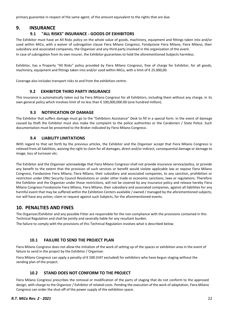primary guarantee in respect of the same agent, of the amount equivalent to the rights that are due.

# <span id="page-21-1"></span><span id="page-21-0"></span>**9. INSURANCE**

# **9.1 "ALL RISKS" INSURANCE - GOODS OF EXHIBITORS**

The Exhibitor must have an All Risks policy on the whole value of goods, machinery, equipment and fittings taken into and/or used within MiCo, with a waiver of subrogation clause Fiera Milano Congressi, Fondazione Fiera Milano, Fiera Milano, their subsidiary and associated companies, the Organiser and any third party involved in the organisation of the event.

In case of subrogation from its own insurer, the Exhibitor guarantees to hold the aforementioned Subjects harmless.

Exhibitor, has a Property "All Risks" policy provided by Fiera Milano Congressi, free of charge for Exhibitor, for all goods, machinery, equipment and fittings taken into and/or used within MiCo, with a limit of € 25.000,00.

Coverage also includes transport risks to and from the exhibition centre.

#### **9.2 EXHIBITOR THIRD PARTY INSURANCE**

<span id="page-21-2"></span>This insurance is automatically taken out by Fiera Milano Congressi for all Exhibitors, including them without any charge, in its own general policy which involves limit of no less than € 100,000,000.00 (one hundred million).

#### **9.3 NOTIFICATION OF DAMAGE**

<span id="page-21-3"></span>The Exhibitor that suffers damage must go to the "Exhibitors Assistance" Desk to fill in a special form. In the event of damage caused by theft the Exhibitor must also make the complaint to the police authorities or the Carabinieri / State Police. Such documentation must be presented to the Broker indicated by Fiera Milano Congressi.

#### **9.4 LIABILITY LIMITATIONS**

<span id="page-21-4"></span>With regard to that set forth by the previous articles, the Exhibitor and the Organiser accept that Fiera Milano Congressi is relieved from all liabilities, waiving the right to claim for all damages, direct and/or indirect, consequential damage or damage to image, loss of turnover etc.

The Exhibitor and the Organiser acknowledge that Fiera Milano Congressi shall not provide insurance service/policy, or provide any benefit to the extent that the provision of such services or benefit would violate applicable law or expose Fiera Milano Congressi, Fondazione Fiera Milano, Fiera Milano, their subsidiary and associated companies, to any sanction, prohibition or restriction under ONU Security Council Resolutions or under other trade or economic sanctions, laws or regulations. Therefore the Exhibitor and the Organiser under those restrictions, will not be covered by any insurance policy and release hereby Fiera Milano Congressi Fondazione Fiera Milano, Fiera Milano, their subsidiary and associated companies, against all liabilities for any harmful event that may be suffered within the Exhibition Centers available / owned / managed by the aforementioned subjects, nor will have any action, claim or request against such Subjects, for the aforementioned events.

# <span id="page-21-5"></span>**10. PENALTIES AND FINES**

The Organizer/Exhibitor and any possible Fitter are responsible for the non-compliance with the provisions contained in this Technical Regulation and shall be jointly and severally liable for any resultant burden.

The failure to comply with the provisions of this Technical Regulation involves what is described below.

## **10.1 FAILURE TO SEND THE PROJECT PLAN**

<span id="page-21-6"></span>Fiera Milano Congressi does not allow the initiation of the work of setting up of the spaces or exhibition area in the event of failure to send in the project by the Exhibitor / Organiser.

Fiera Milano Congressi can apply a penalty of € 500 (VAT excluded) for exhibitors who have begun staging without the sending plan of the project.

## **10.2 STAND DOES NOT CONFORM TO THE PROJECT**

<span id="page-21-7"></span>Fiera Milano Congressi prescribes the removal or modification of the parts of staging that do not conform to the approved design, with charge to the Organiser / Exhibitor of related costs. Pending the execution of the work of adaptation, Fiera Milano Congressi can order the shut-off of the power supply of the exhibition space.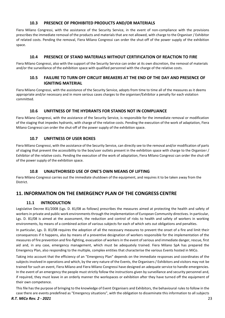#### **10.3 PRESENCE OF PROHIBITED PRODUCTS AND/OR MATERIALS**

<span id="page-22-0"></span>Fiera Milano Congressi, with the assistance of the Security Service, in the event of non-compliance with the provisions prescribes the immediate removal of the products and materials that are not allowed, with charge to the Organiser / Exhibitor of related costs. Pending the removal, Fiera Milano Congressi can order the shut-off of the power supply of the exhibition space.

#### **10.4 PRESENCE OF STAND MATERIALS WITHOUT CERTIFICATION OF REACTION TO FIRE**

<span id="page-22-1"></span>Fiera Milano Congressi, also with the support of the Security Service can order at its own discretion, the removal of materials and/or the surveillance of the exhibition space with qualified personnel with the charge of the relative costs.

#### **10.5 FAILURE TO TURN OFF CIRCUIT BREAKERS AT THE END OF THE DAY AND PRESENCE OF IGNITING MATERIAL**

<span id="page-22-2"></span>Fiera Milano Congressi, with the assistance of the Security Service, adopts from time to time all of the measures as it deems appropriate and/or necessary and in more serious cases charges to the organiser/Exhibitor a penalty for each violation committed.

#### **10.6 UNFITNESS OF THE HYDRANTS FOR STANDS NOT IN COMPLIANCE**

<span id="page-22-3"></span>Fiera Milano Congressi, with the assistance of the Security Service, is responsible for the immediate removal or modification of the staging that impedes hydrants, with charge of the relative costs. Pending the execution of the work of adaptation, Fiera Milano Congressi can order the shut-off of the power supply of the exhibition space.

#### **10.7 UNFITNESS OF USER BOXES**

<span id="page-22-4"></span>Fiera Milano Congressi, with the assistance of the Security Service, can directly see to the removal and/or modification of parts of staging that prevent the accessibility to the box/user outlets present in the exhibition space with charge to the Organizer / Exhibitor of the relative costs. Pending the execution of the work of adaptation, Fiera Milano Congressi can order the shut-off of the power supply of the exhibition space.

## **10.8 UNAUTHORISED USE OF ONE'S OWN MEANS OF LIFTING**

<span id="page-22-5"></span>Fiera Milano Congressi carries out the immediate shutdown of the equipment, and requires it to be taken away from the District.

# <span id="page-22-7"></span><span id="page-22-6"></span>**11. INFORMATION ON THE EMERGENCY PLAN OF THE CONGRESS CENTRE**

#### **11.1 INTRODUCTION**

Legislative Decree 81/2008 (Lgs. D. 81/08 as follows) prescribes the measures aimed at protecting the health and safety of workers in private and public work environments through the implementation of European Community directives. In particular, Lgs. D. 81/08 is aimed at the assessment, the reduction and control of risks to health and safety of workers in working environments, by means of a combined action of various subjects for each of which sets out obligations and penalties.

In particular, Lgs. D. 81/08 requires the adoption of all the necessary measures to prevent the onset of a fire and limit their consequences if it happens, also by means of a preventive designation of workers responsible for the implementation of the measures of fire prevention and fire-fighting, evacuation of workers in the event of serious and immediate danger, rescue, first aid and, in any case, emergency management, which must be adequately trained. Fiera Milano SpA has prepared the Emergency Plan, also responding to the multiple, complex entities that characterise the various Events hosted in MiCo.

Taking into account that the efficiency of an "Emergency Plan" depends on the immediate responses and coordinates of the subjects involved in operations and which, by the very nature of the Events, the Organisers / Exhibitors and visitors may not be trained for such an event, Fiera Milano and Fiera Milano Congressi have designed an adequate service to handle emergencies. In the event of an emergency the people must strictly follow the instructions given by surveillance and security personnel and, if required, they must leave in an orderly manner the workspaces or exhibition after they have turned off the equipment of their own competence.

This file has the purpose of bringing to the knowledge of Event Organisers and Exhibitors, the behavioural rules to follow in the case there are events predefined as "Emergency situations", with the obligation to disseminate this information to all subjects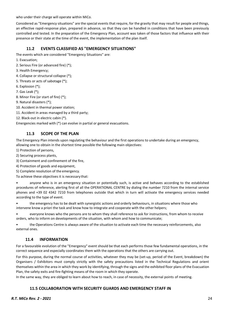who under their charge will operate within MiCo.

Considered as "Emergency situations" are the special events that require, for the gravity that may result for people and things, an effective rapid-response plan, prepared in advance, so that they can be handled in conditions that have been previously controlled and tested. In the preparation of the Emergency Plan, account was taken of those factors that influence with their presence or their state at the time of the event, the implementation of the plan itself.

# **11.2 EVENTS CLASSIFIED AS "EMERGENCY SITUATIONS"**

<span id="page-23-0"></span>The events which are considered "Emergency Situations" are:

- 1. Evacuation;
- 2. Serious Fire (or advanced fire) (\*);
- 3. Health Emergency;
- 4. Collapse or structural collapse (\*);
- 5. Threats or acts of sabotage (\*);
- 6. Explosion (\*);
- 7. Gas Leak (\*);
- 8. Minor Fire (or start of fire) (\*);
- 9. Natural disasters (\*);
- 10. Accident in thermal power station;
- 11. Accident in areas managed by a third party;
- 12. Black-out in electric cabin (\*).

Emergencies marked with (\*) can evolve in partial or general evacuations.

# **11.3 SCOPE OF THE PLAN**

<span id="page-23-1"></span>The Emergency Plan intends upon regulating the behaviour and the first operations to undertake during an emergency, allowing one to obtain in the shortest time possible the following main objectives:

- 1) Protection of persons,
- 2) Securing process plants,
- 3) Containment and confinement of the fire,
- 4) Protection of goods and equipment,
- 5) Complete resolution of the emergency.

To achieve these objectives it is necessary that:

• anyone who is in an emergency situation or potentially such, is active and behaves according to the established procedures of reference, alerting first of all the OPERATIONAL CENTRE by dialing the number 7210 from the internal service phones and +39 02 4342 7210 from telephones outside that which in turn will activate the emergency services needed according to the type of event.

• the emergency has to be dealt with synergistic actions and orderly behaviours, in situations where those who intervene know a priori the task and know how to integrate and cooperate with the other helpers;

• everyone knows who the persons are to whom they shall reference to ask for instructions, from whom to receive orders, who to inform on developments of the situation, with whom and how to communicate;

• the Operations Centre is always aware of the situation to activate each time the necessary reinforcements, also external ones.

## **11.4 INFORMATION**

<span id="page-23-2"></span>For a favourable evolution of the "Emergency" event should be that each performs those few fundamental operations, in the correct sequence and especially coordinates them with the operations that the others are carrying out.

For this purpose, during the normal course of activities, whatever they may be (set-up, period of the Event, breakdown) the Organisers / Exhibitors must comply strictly with the safety precautions listed in the Technical Regulations and orient themselves within the area in which they work by identifying, through the signs and the exhibited floor plans of the Evacuation Plan, the safety exits and fire-fighting means of the room in which they operate.

<span id="page-23-3"></span>In the same way, they are obliged to learn about how to reach, in case of necessity, the external points of meeting.

# **11.5 COLLABORATION WITH SECURITY GUARDS AND EMERGENCY STAFF IN**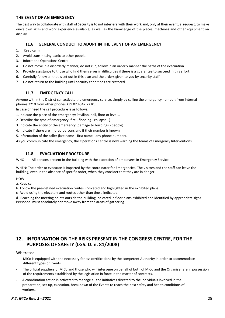## **THE EVENT OF AN EMERGENCY**

The best way to collaborate with staff of Security is to not interfere with their work and, only at their eventual request, to make one's own skills and work experience available, as well as the knowledge of the places, machines and other equipment on display.

## **11.6 GENERAL CONDUCT TO ADOPT IN THE EVENT OF AN EMERGENCY**

- <span id="page-24-0"></span>1. Keep calm.
- 2. Avoid transmitting panic to other people.
- 3. Inform the Operations Centre
- 4. Do not move in a disorderly manner, do not run, follow in an orderly manner the paths of the evacuation.
- 5. Provide assistance to those who find themselves in difficulties if there is a guarantee to succeed in this effort.
- 6. Carefully follow all that is set out in this plan and the orders given to you by security staff.
- 7. Do not return to the building until security conditions are restored.

# **11.7 EMERGENCY CALL**

<span id="page-24-1"></span>Anyone within the District can activate the emergency service, simply by calling the emergency number: from internal phones 7210 from other phones +39 02.4342.7210.

In case of need the call procedure is as follows:

- 1. Indicate the place of the emergency: Pavilion, hall, floor or level…
- 2. Describe the type of emergency (fire flooding collapse…)
- 3. Indicate the entity of the emergency (damage to buildings people)
- 4. Indicate if there are injured persons and if their number is known
- 5. Information of the caller (last name first name any phone number).

As you communicate the emergency, the Operations Centre is now warning the teams of Emergency Interventions

#### **11.8 EVACUATION PROCEDURE**

<span id="page-24-2"></span>WHO: All persons present in the building with the exception of employees in Emergency Service.

WHEN: The order to evacuate is imparted by the coordinator for Emergencies. The visitors and the staff can leave the building, even in the absence of specific order, when they consider that they are in danger.

HOW:

a. Keep calm.

b. Follow the pre-defined evacuation routes, indicated and highlighted in the exhibited plans.

c. Avoid using the elevators and routes other than those indicated.

d. Reaching the meeting points outside the building indicated in floor plans exhibited and identified by appropriate signs. Personnel must absolutely not move away from the areas of gathering.

# <span id="page-24-3"></span>**12. INFORMATION ON THE RISKS PRESENT IN THE CONGRESS CENTRE, FOR THE PURPOSES OF SAFETY (LGS. D. n. 81/2008)**

#### <span id="page-24-4"></span>Whereas:

- MiCo is equipped with the necessary fitness certifications by the competent Authority in order to accommodate different types of Events.
- The official suppliers of MiCo and those who will intervene on behalf of both of MiCo and the Organiser are in possession of the requirements established by the legislation in force in the matter of contracts.
- A coordination action is activated to manage all the initiatives directed to the individuals involved in the preparation, set-up, execution, breakdown of the Events to reach the best safety and health conditions of workers.

#### *R.T. MiCo Rev. 2 - 2021* 25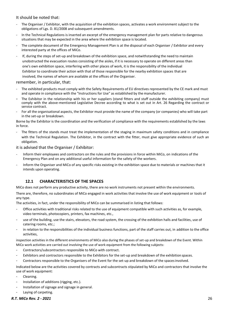# <span id="page-25-0"></span>It should be noted that:

- The Organiser / Exhibitor, with the acquisition of the exhibition spaces, activates a work environment subject to the obligations of Lgs. D. 81/2008 and subsequent amendments.
- In the Technical Regulations is inserted an excerpt of the emergency management plan for parts relative to dangerous situations that may be expected in the area where the exhibition space is located.
- The complete document of the Emergency Management Plan is at the disposal of each Organiser / Exhibitor and every interested party at the offices of MiCo.
- If, during the steps of set-up and breakdown of the exhibition space, and notwithstanding the need to maintain unobstructed the evacuation routes consisting of the aisles, if it is necessary to operate on different areas than one's own exhibition space, interfering with other places of work, it is the responsibility of the individual Exhibitor to coordinate their action with that of those responsible for the nearby exhibition spaces that are involved, the names of whom are available at the offices of the Organiser.

#### <span id="page-25-1"></span>remember, in particular, that:

- The exhibited products must comply with the Safety Requirements of EU directives represented by the CE mark and must and operate in compliance with the "Instructions for Use" as established by the manufacturer.
- The Exhibitor in the relationship with his or her suppliers (stand fitters and staff outside the exhibiting company) must comply with the above-mentioned Legislative Decree according to what is set out in Art. 26 Regarding the contract or service contract.
- For all the organisational aspects, the Exhibitor must provide the name of the company (or companies) who will take part in the set-up or breakdown.

Borne by the Exhibitor is the coordination and the verification of compliance with the requirements established by the laws in force.

The fitters of the stands must treat the implementation of the staging in maximum safety conditions and in compliance with the Technical Regulation. The Exhibitor, in the contract with the fitter, must give appropriate evidence of such an obligation.

#### <span id="page-25-2"></span>it is advised that the Organiser / Exhibitor:

- Inform their employees and contractors on the rules and the provisions in force within MiCo, on indications of the Emergency Plan and on any additional useful information for the safety of the workers.
- Inform the Organiser and MiCo of any specific risks existing in the exhibition space due to materials or machines that it intends upon operating.

# <span id="page-25-3"></span>**12.1 CHARACTERISTICS OF THE SPACES**

MiCo does not perform any productive activity, there are no work instruments not present within the environments.

There are, therefore, no subordinates of MiCo engaged in work activities that involve the use of work equipment or tools of any type.

The activities, in fact, under the responsibility of MiCo can be summarised in listing that follows:

- Office activities with traditional risks related to the use of equipment compatible with such activities as, for example, video terminals, photocopiers, printers, fax machines, etc.,
- use of the building, use the stairs, elevators, the road system, the crossing of the exhibition halls and facilities, use of catering rooms, etc.;
- in relation to the responsibilities of the individual business functions, part of the staff carries out, in addition to the office activities,

inspection activities in the different environments of MiCo also during the phases of set-up and breakdown of the Event. Within MiCo work activities are carried out involving the use of work equipment from the following subjects:

- Contractors/subcontractors responsible to MiCo with contract.
- Exhibitors and contractors responsible to the Exhibitors for the set-up and breakdown of the exhibition spaces.
- Contractors responsible to the Organisers of the Event for the set-up and breakdown of the spacesinvolved.

Indicated below are the activities covered by contracts and subcontracts stipulated by MiCo and contractors that involve the use of work equipment:

- Cleaning.
- Installation of additions (rigging, etc.).
- Installation of signage and signage in general.
- Laying of carpeting.

*R.T. MiCo Rev. 2 - 2021* 26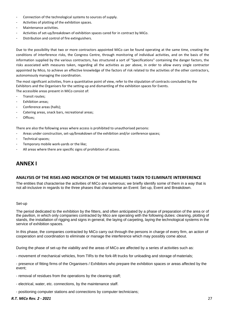- Connection of the technological systems to sources of supply.
- Activities of plotting of the exhibition spaces.
- Maintenance activities.
- Activities of set-up/breakdown of exhibition spaces cared for in contract by MiCo.
- Distribution and control of fire extinguishers.

Due to the possibility that two or more contractors appointed MiCo can be found operating at the same time, creating the conditions of interference risks, the Congress Centre, through monitoring of individual activities, and on the basis of the information supplied by the various contractors, has structured a sort of "Specifications" containing the danger factors, the risks associated with measures taken, regarding all the activities as per above, in order to allow every single contractor appointed by Mico, to achieve an effective knowledge of the factors of risk related to the activities of the other contractors, autonomously managing the coordination.

The most significant activities, from a quantitative point of view, refer to the stipulation of contracts concluded by the Exhibitors and the Organisers for the setting up and dismantling of the exhibition spaces for Events. The accessible areas present in MiCo consist of:

- Transit routes;
- Exhibition areas;
- Conference areas (halls);
- Catering areas, snack bars, recreational areas;
- Offices;

There are also the following areas where access is prohibited to unauthorised persons:

- Areas under construction, set-up/breakdown of the exhibition and/or conference spaces;
- Technical spaces;
- Temporary mobile work-yards or the like;
- All areas where there are specific signs of prohibition of access.

# **ANNEX I**

#### <span id="page-26-0"></span>**ANALYSIS OF THE RISKS AND INDICATION OF THE MEASURES TAKEN TO ELIMINATE INTERFERENCE**

The entities that characterise the activities of MiCo are numerous; we briefly identify some of them in a way that is not all-inclusive in regards to the three phases that characterise an Event: Set-up, Event and Breakdown.

#### Set-up

The period dedicated to the exhibition by the fitters, and often anticipated by a phase of preparation of the area or of the pavilion, in which only companies contracted by Mico are operating with the following duties: cleaning, plotting of stands, the installation of rigging and signs in general, the laying of carpeting, laying the technological systems in the service of exhibition spaces.

In this phase, the companies contracted by MiCo carry out through the persons in charge of every firm, an action of cooperation and coordination to eliminate or manage the interference which may possibly come about.

During the phase of set-up the viability and the areas of MiCo are affected by a series of activities such as:

- movement of mechanical vehicles, from TIRs to the fork-lift trucks for unloading and storage of materials;

- presence of fitting firms of the Organisers / Exhibitors who prepare the exhibition spaces or areas affected by the event;

- removal of residues from the operations by the cleaning staff;
- electrical, water, etc. connections, by the maintenance staff.
- positioning computer stations and connections by computer technicians;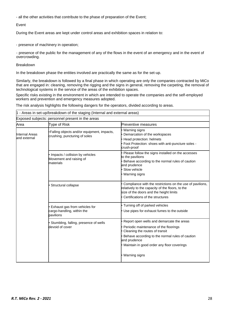- all the other activities that contribute to the phase of preparation of the Event;

#### Event

During the Event areas are kept under control areas and exhibition spaces in relation to:

- presence of machinery in operation;

- presence of the public for the management of any of the flows in the event of an emergency and in the event of overcrowding.

#### Breakdown

In the breakdown phase the entities involved are practically the same as for the set-up.

Similarly, the breakdown is followed by a final phase in which operating are only the companies contracted by MiCo that are engaged in: cleaning, removing the rigging and the signs in general, removing the carpeting, the removal of technological systems in the service of the areas of the exhibition spaces.

Specific risks existing in the environment in which are intended to operate the companies and the self-employed workers and prevention and emergency measures adopted.

The risk analysis highlights the following dangers for the operators, divided according to areas.

 $1 -$  Areas in set-up/breakdown of the staging (Internal and external areas)

| Exposed subjects: personnel present in the areas |                                                                             |                                                                                                                                                                                                                                                        |  |
|--------------------------------------------------|-----------------------------------------------------------------------------|--------------------------------------------------------------------------------------------------------------------------------------------------------------------------------------------------------------------------------------------------------|--|
| Area                                             | Type of Risk                                                                | Preventive measures                                                                                                                                                                                                                                    |  |
| <b>Internal Areas</b><br>and external            | Falling objects and/or equipment, impacts,<br>crushing, puncturing of soles | Warning signs<br>Demarcation of the workspaces<br>Head protection: helmets<br>Foot Protection: shoes with anti-puncture soles -<br>crush-proof                                                                                                         |  |
|                                                  | Impacts / collision by vehicles<br>Movement and raising of<br>materials     | Please follow the signs installed on the accesses<br>to the pavilions<br>Behave according to the normal rules of caution<br>and prudence<br>Slow vehicle<br>Warning signs                                                                              |  |
|                                                  | Structural collapse                                                         | Compliance with the restrictions on the use of pavilions,<br>relatively to the capacity of the floors, to the<br>size of the doors and the height limits<br>Certifications of the structures                                                           |  |
|                                                  | Exhaust gas from vehicles for<br>cargo-handling, within the<br>pavilions    | Turning off of parked vehicles<br>Use pipes for exhaust fumes to the outside                                                                                                                                                                           |  |
|                                                  | Stumbling, falling, presence of wells<br>devoid of cover                    | Report open wells and demarcate the areas<br>Periodic maintenance of the floorings<br>Cleaning the routes of transit<br>Behave according to the normal rules of caution<br>and prudence<br>Maintain in good order any floor coverings<br>Warning signs |  |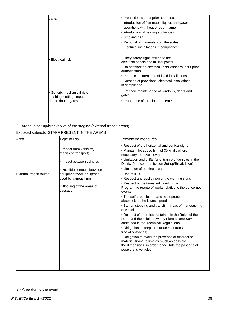| • Fire                    | • Prohibition without prior authorisation:            |  |
|---------------------------|-------------------------------------------------------|--|
|                           | introduction of flammable liquids and gases           |  |
|                           | operations with heat or open-flame                    |  |
|                           | introduction of heating appliances                    |  |
|                           | Smoking ban                                           |  |
|                           | Removal of materials from the aisles                  |  |
|                           | • Electrical installations in compliance              |  |
|                           |                                                       |  |
| Electrical risk           | Obey safety signs affixed to the                      |  |
|                           | electrical panels and in user points                  |  |
|                           | Do not work on electrical installations without prior |  |
|                           | authorisation                                         |  |
|                           | • Periodic maintenance of fixed installations         |  |
|                           | Creation of provisional electrical installations      |  |
|                           | in compliance                                         |  |
| Generic mechanical risk:  | Periodic maintenance of windows, doors and            |  |
| crushing, cutting, impact | qates                                                 |  |
| due to doors, gates       | • Proper use of the closure elements                  |  |
|                           |                                                       |  |
|                           |                                                       |  |
|                           |                                                       |  |
|                           |                                                       |  |

2 - Areas in set-up/breakdown of the staging (external transit areas)

# Exposed subjects: STAFF PRESENT IN THE AREAS

| Area                           | Type of Risk                                 | Preventive measures                                                                                                                                                              |
|--------------------------------|----------------------------------------------|----------------------------------------------------------------------------------------------------------------------------------------------------------------------------------|
|                                |                                              | Respect of the horizontal and vertical signs                                                                                                                                     |
|                                | Impact from vehicles,<br>means of transport; | Maintain the speed limit of 30 km/h, where<br>necessary to move slowly                                                                                                           |
|                                | Impact between vehicles                      | Limitation and shifts for entrance of vehicles in the<br>District (see communication Set-up/Breakdown)                                                                           |
|                                | Possible contacts between                    | Limitation of parking areas                                                                                                                                                      |
| <b>External transit routes</b> | equipment/work equipment                     | Use of IPD                                                                                                                                                                       |
|                                | used by various firms                        | Respect and application of the warning signs                                                                                                                                     |
|                                | Blocking of the areas of<br>passage          | Respect of the times indicated in the<br>Programme (gantt) of works relative to the concerned<br>events                                                                          |
|                                |                                              | The self-propelled means must proceed<br>absolutely at the lowest speed                                                                                                          |
|                                |                                              | Ban on stopping and transit in areas of manoeuvring<br>of vehicles                                                                                                               |
|                                |                                              | Respect of the rules contained in the Rules of the<br>Road and those laid down by Fiera Milano SpA<br>contained in the Technical Regulations                                     |
|                                |                                              | Obligation to keep the surfaces of transit<br>free of obstacles:                                                                                                                 |
|                                |                                              | Obligation to avoid the presence of disordered<br>material, trying to limit as much as possible<br>the dimensions, in order to facilitate the passage of<br>people and vehicles; |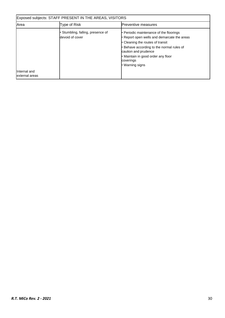| Exposed subjects: STAFF PRESENT IN THE AREAS, VISITORS |                                                      |                                                                                                                                                                                                                                                                     |  |
|--------------------------------------------------------|------------------------------------------------------|---------------------------------------------------------------------------------------------------------------------------------------------------------------------------------------------------------------------------------------------------------------------|--|
| <b>Area</b>                                            | Type of Risk                                         | <b>Preventive measures</b>                                                                                                                                                                                                                                          |  |
|                                                        | • Stumbling, falling, presence of<br>devoid of cover | • Periodic maintenance of the floorings<br>• Report open wells and demarcate the areas<br>• Cleaning the routes of transit<br>Behave according to the normal rules of<br>caution and prudence<br>· Maintain in good order any floor<br>coverings<br>• Warning signs |  |
| Internal and<br>external areas                         |                                                      |                                                                                                                                                                                                                                                                     |  |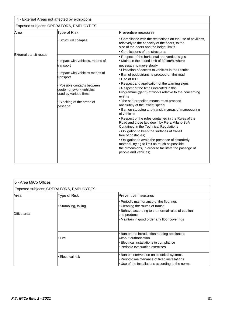Exposed subjects: OPERATORS, EMPLOYEES

| Area                           | Type of Risk                                                                                                                                                                                                      | <b>Preventive measures</b>                                                                                                                                                                                                                                                                                                                                                                                                                                                                                                                                                                                                                                                                                                                                                                                                                                                                                                                                 |  |
|--------------------------------|-------------------------------------------------------------------------------------------------------------------------------------------------------------------------------------------------------------------|------------------------------------------------------------------------------------------------------------------------------------------------------------------------------------------------------------------------------------------------------------------------------------------------------------------------------------------------------------------------------------------------------------------------------------------------------------------------------------------------------------------------------------------------------------------------------------------------------------------------------------------------------------------------------------------------------------------------------------------------------------------------------------------------------------------------------------------------------------------------------------------------------------------------------------------------------------|--|
|                                | Structural collapse                                                                                                                                                                                               | Compliance with the restrictions on the use of pavilions,<br>elatively to the capacity of the floors, to the<br>size of the doors and the height limits<br>Certifications of the structures                                                                                                                                                                                                                                                                                                                                                                                                                                                                                                                                                                                                                                                                                                                                                                |  |
| <b>External transit routes</b> | Impact with vehicles, means of<br>transport<br>Impact with vehicles means of<br>transport<br>Possible contacts between<br>equipment/work vehicles<br>used by various firms<br>Blocking of the areas of<br>passage | Respect of the horizontal and vertical signs<br>Maintain the speed limit of 30 km/h, where<br>necessary to move slowly<br>Limitation of access to vehicles in the District<br>Ban of pedestrians to proceed on the road<br>Use of IPD<br>Respect and application of the warning signs<br>Respect of the times indicated in the<br>Programme (gantt) of works relative to the concerning<br>events<br>The self-propelled means must proceed<br>absolutely at the lowest speed<br>Ban on stopping and transit in areas of manoeuvring<br>of vehicles<br>Respect of the rules contained in the Rules of the<br>Road and those laid down by Fiera Milano SpA<br>Contained in the Technical Regulations<br>Obligation to keep the surfaces of transit<br>free of obstacles:<br>Obligation to avoid the presence of disorderly<br>material, trying to limit as much as possible<br>the dimensions, in order to facilitate the passage of<br>people and vehicles; |  |

| 5 - Area MiCo Offices |                                        |                                                                                                                                                                                          |  |  |  |
|-----------------------|----------------------------------------|------------------------------------------------------------------------------------------------------------------------------------------------------------------------------------------|--|--|--|
|                       | Exposed subjects: OPERATORS, EMPLOYEES |                                                                                                                                                                                          |  |  |  |
| Area                  | Type of Risk                           | Preventive measures                                                                                                                                                                      |  |  |  |
| Office area           | Stumbling, falling                     | Periodic maintenance of the floorings<br>Cleaning the routes of transit<br>Behave according to the normal rules of caution<br>and prudence<br>Maintain in good order any floor coverings |  |  |  |
|                       | ∙ Fire                                 | Ban on the introduction heating appliances<br>without authorisation<br>Electrical installations in compliance<br>Periodic evacuation exercises                                           |  |  |  |
|                       | • Electrical risk                      | Ban on intervention on electrical systems<br>Periodic maintenance of fixed installations<br>Use of the installations according to the norms                                              |  |  |  |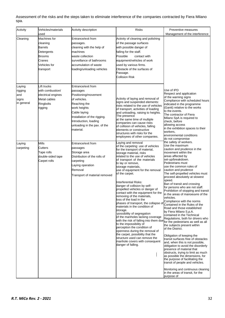Assessment of the risks and the steps taken to eliminate interference of the companies contracted by Fiera Milano spa.

| Activity                                        | Vehicles/materials<br>used                                                                                       | Activity description                                                                                                                                                                                                         | Risks                                                                                                                                                                                                                                                                                                                                                                                                                                                                                                                                                                                                                                                                                                                                                                                                                                                                                                                                             | Preventive measures<br>Management of the interference                                                                                                                                                                                                                                                                                                                                                                                                                                                                                                                                                                                                                                                                                                                                                                                                                                                                                                                                                                                                                                                                |
|-------------------------------------------------|------------------------------------------------------------------------------------------------------------------|------------------------------------------------------------------------------------------------------------------------------------------------------------------------------------------------------------------------------|---------------------------------------------------------------------------------------------------------------------------------------------------------------------------------------------------------------------------------------------------------------------------------------------------------------------------------------------------------------------------------------------------------------------------------------------------------------------------------------------------------------------------------------------------------------------------------------------------------------------------------------------------------------------------------------------------------------------------------------------------------------------------------------------------------------------------------------------------------------------------------------------------------------------------------------------------|----------------------------------------------------------------------------------------------------------------------------------------------------------------------------------------------------------------------------------------------------------------------------------------------------------------------------------------------------------------------------------------------------------------------------------------------------------------------------------------------------------------------------------------------------------------------------------------------------------------------------------------------------------------------------------------------------------------------------------------------------------------------------------------------------------------------------------------------------------------------------------------------------------------------------------------------------------------------------------------------------------------------------------------------------------------------------------------------------------------------|
| Cleaning                                        | Machines for<br>cleaning<br><b>Barrels</b><br>Detergents<br><b>Brooms</b><br>Cranes<br>Vehicles for<br>transport | Entrance/exit from<br>passages.<br>cleaning with the help of<br>machines<br>waste collection<br>surveillance of bathrooms<br>accumulation of waste<br>loading/unloading vehicles                                             | Activity of cleaning and polishing<br>of the passage surfaces<br>with possible danger of<br>falling for the staff.<br>Possible<br>contact with<br>equipment/vehicles of work<br>used by various firms.<br>Obstacle of the surfaces of<br>Passage.<br>Collision Risk                                                                                                                                                                                                                                                                                                                                                                                                                                                                                                                                                                                                                                                                               |                                                                                                                                                                                                                                                                                                                                                                                                                                                                                                                                                                                                                                                                                                                                                                                                                                                                                                                                                                                                                                                                                                                      |
| Laying<br>rigging<br>and<br>signs<br>in general | Lift trucks<br>with combustion/<br>electrical engines<br>Metal cables<br>Ringbolts<br>rigging                    | Entrance/exit from<br>passages<br>Positioning/movement<br>of vehicles.<br>Reaching the<br>work heights<br>Cable laying<br>Installation of the rigging.<br>Introduction, loading<br>unloading in the pav. of the<br>material. | Activity of laying and removal of<br>signs and suspended elements:<br>risks related to the use of vehicles<br>of transport, activities of loading<br>and unloading, raising to heights.<br>The presence<br>at the same time of multiple<br>companies can cause risks<br>of collision of vehicles, falling<br>elements or constructive<br>structures with risks for the<br>employees of other companies.                                                                                                                                                                                                                                                                                                                                                                                                                                                                                                                                           | Use of IPD<br>Respect and application<br>of the warning signs<br>Compliance with scheduled hours<br>indicated in the programme<br>(Gantt) relative to the works<br>to the events.<br>The contractor of Fiera<br>Milano SpA is required to<br>check, before<br>allowing access<br>in the exhibition spaces to their<br>workers,<br>environmental conditions<br>do not compromise                                                                                                                                                                                                                                                                                                                                                                                                                                                                                                                                                                                                                                                                                                                                      |
| Laying<br>carpeting                             | <b>Mills</b><br>Cutters<br>Tape rolls<br>double-sided tape<br>Carpet rolls                                       | Entrance/exit from<br>passages<br>Storage area<br>Distribution of the rolls of<br>carpeting<br>Laying operation<br>Removal<br>Transport of material removed                                                                  | Laying and removal<br>of the carpeting: use of vehicles<br>for the transport of material,<br>storage material, risks<br>related to the use of vehicles<br>of transport of the materials<br>to lay or remove,<br>storage materials,<br>use of equipment for the removal<br>of the carpet.<br>Interferential Risks:<br>danger of collision by self-<br>propelled vehicles or danger of<br>contact with the equipment for the<br>removing of the materials,<br>loss of the load in the<br>phases of transport, the collapse of<br>materials in the condition of<br>storage.<br>-possibility of segregation<br>of the manholes lacking coverage<br>with the risk of falling into them due for the pedestrians as well as all<br>to the impossibility of<br>perception the condition of<br>openness during the removal of<br>the carpet, possibility that the<br>structure used can remove the<br>manhole covers with consequent<br>danger of falling. | the safety of workers.<br>Use the maximum<br>caution and prudence in the<br>movement within the<br>areas affected by<br>set-up/breakdown.<br>Pedestrians must<br>use the common rules of<br>caution and prudence<br>The self-propelled vehicles must<br>proceed absolutely at slowest<br>speed.<br>Ban of transit and crossing<br>for persons who are not staff.<br>Prohibition of stopping and transit<br>in the areas of manoeuvre of the<br>vehicles.<br>Compliance with the norms<br>Contained in the Rules of the<br>Road and those established<br>by Fiera Milano S.p.A.<br>contained in the Technical<br>Regulations, both for drivers who<br>the subjects present within<br>of the District.<br>Obligation of keeping the<br>transit surfaces free of obstacles<br>and, when this is not possible,<br>obligation to avoid the disorderly<br>presence of material that<br>obstructs, trying to limit as much<br>as possible the dimensions, for<br>the purpose of facilitating the<br>transit of people and vehicles.<br>Monitoring and continuous cleaning<br>in the areas of transit, for the<br>purpose of |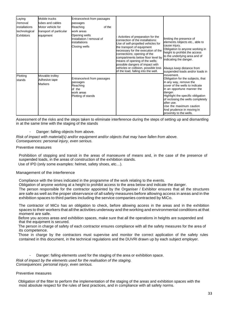| Laying<br>/removal<br>installations<br>technological<br><b>Exhibitors</b> | Mobile trucks<br>tubes and cables<br>Motor vehicle for<br>transport of particular<br>equipment | Entrance/exit from passages<br>passages<br>Reaching<br>of the<br>work areas<br>Opening wells<br>Installation / removal of<br>installations<br>Closing wells | Activities of preparation for the<br>connection of the installations:<br>Use of self-propelled vehicles for<br>the transport of equipment<br>necessary for the execution of the<br>connections; opening of the<br>compartments below floor level by<br>means of opening of the wells;<br>possible dangers of impact with<br>vehicles or collision, possible loss<br>of the load, falling into the well. | limiting the presence of<br>elements /objects etc., able to<br>cause injury.<br>Obligation to anyone working in<br>height to prohibit the access<br>to the underlying area and of<br>indicating the danger.<br>Always keep distance from<br>suspended loads and/or loads in<br>movement.<br>Obligation for the subjects, that<br>in any way, remove the<br>cover of the wells to indicate<br>in an opportune manner the<br>danger.<br>Highlight the specific obligation<br>of reclosing the wells completely<br>after use.<br>Use the maximum caution<br>And prudence in moving In<br>proximity to the wells. |
|---------------------------------------------------------------------------|------------------------------------------------------------------------------------------------|-------------------------------------------------------------------------------------------------------------------------------------------------------------|---------------------------------------------------------------------------------------------------------------------------------------------------------------------------------------------------------------------------------------------------------------------------------------------------------------------------------------------------------------------------------------------------------|---------------------------------------------------------------------------------------------------------------------------------------------------------------------------------------------------------------------------------------------------------------------------------------------------------------------------------------------------------------------------------------------------------------------------------------------------------------------------------------------------------------------------------------------------------------------------------------------------------------|
| Plotting<br>stands                                                        | Movable trolley<br>Adhesive tape<br><b>Markers</b>                                             | Entrance/exit from passages<br>passages<br>Reaching<br>of the<br>work areas<br>Plotting of stands                                                           |                                                                                                                                                                                                                                                                                                                                                                                                         |                                                                                                                                                                                                                                                                                                                                                                                                                                                                                                                                                                                                               |

Assessment of the risks and the steps taken to eliminate interference during the steps of setting up and dismantling in at the same time with the staging of the stands

#### Danger: falling objects from above.

*Risk of impact with material(s) and/or equipment and/or objects that may have fallen from above. Consequences: personal injury, even serious.*

#### Preventive measures

Prohibition of stopping and transit in the areas of manoeuvre of means and, in the case of the presence of suspended loads, in the areas of construction of the exhibition stands. Use of IPD (only some examples: helmet, safety shoes, etc…).

#### Management of the interference

Compliance with the times indicated in the programme of the work relating to the events.

Obligation of anyone working at a height to prohibit access to the area below and indicate the danger.

The person responsible for the contractor appointed by the Organiser / Exhibitor ensures that all the structures are safe as well as the proper observance of all safety measures before allowing access in areas and in the exhibition spaces to third parties including the service companies contracted by MiCo.

The contractor of MiCo has an obligation to check, before allowing access in the areas and in the exhibition spaces to their workers that all the activities underway and the working and environmental conditions at that moment are safe.

Before you access areas and exhibition spaces, make sure that all the operations in heights are suspended and that the equipment is secured.

The person in charge of safety of each contractor ensures compliance with all the safety measures for the area of its competence.

Those in charge by the contractors must supervise and monitor the correct application of the safety rules contained in this document, in the technical regulations and the DUVRI drawn up by each subject employer.

Danger: falling elements used for the staging of the area or exhibition space.

*Risk of impact by the elements used for the realisation of the staging. Consequences: personal injury, even serious.*

#### Preventive measures

Obligation of the fitter to perform the implementation of the staging of the areas and exhibition spaces with the most absolute respect for the rules of best practices, and in compliance with all safety norms.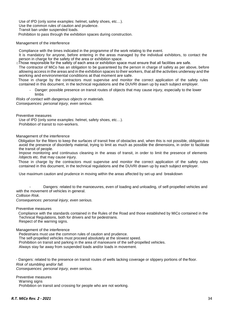Use of IPD (only some examples: helmet, safety shoes, etc…). Use the common rules of caution and prudence. Transit ban under suspended loads. Prohibition to pass through the exhibition spaces during construction.

#### Management of the interference

Compliance with the times indicated in the programme of the work relating to the event.

It is mandatory for anyone, before entering in the areas managed by the individual exhibitors, to contact the person in charge for the safety of the area or exhibition space.

□Those responsible for the safety of each area or exhibition space must ensure that all facilities are safe.

The contractor of MiCo has an obligation to be guaranteed by the person in charge of safety as per above, before allowing access in the areas and in the exhibition spaces to their workers, that all the activities underway and the working and environmental conditions at that moment are safe.

Those in charge by the contractors must supervise and monitor the correct application of the safety rules contained in this document, in the technical regulations and the DUVRI drawn up by each subject employer.

Danger: possible presence on transit routes of objects that may cause injury, especially to the lower limbs

*Risks of contact with dangerous objects or materials. Consequences: personal injury, even serious.*

Preventive measures

Use of IPD (only some examples: helmet, safety shoes, etc…). Prohibition of transit to non-workers.

Management of the interference

Obligation for the fitters to keep the surfaces of transit free of obstacles and, when this is not possible, obligation to avoid the presence of disorderly material, trying to limit as much as possible the dimensions, in order to facilitate the transit of people.

Impose monitoring and continuous cleaning in the areas of transit, in order to limit the presence of elements /objects etc. that may cause injury.

Those in charge by the contractors must supervise and monitor the correct application of the safety rules contained in this document, in the technical regulations and the DUVRI drawn up by each subject employer.

Use maximum caution and prudence in moving within the areas affected by set-up and breakdown

Dangers: related to the manoeuvres, even of loading and unloading, of self-propelled vehicles and with the movement of vehicles in general.

*Collision Risk.*

*Consequences: personal injury, even serious.*

Preventive measures

Compliance with the standards contained in the Rules of the Road and those established by MiCo contained in the Technical Regulations, both for drivers and for pedestrians. Respect of the warning signs.

Management of the interference

Pedestrians must use the common rules of caution and prudence.

The self-propelled vehicles must proceed absolutely at the slowest speed.

Prohibition on transit and parking in the area of manoeuvre of the self-propelled vehicles.

Always stay far away from suspended loads and/or loads in movement.

- Dangers: related to the presence on transit routes of wells lacking coverage or slippery portions of the floor. *Risk of stumbling and/or fall. Consequences: personal injury, even serious.*

Preventive measures Warning signs Prohibition on transit and crossing for people who are not working.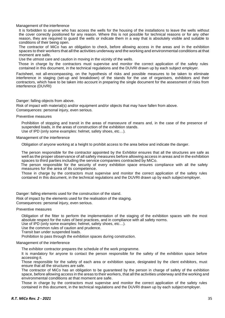Management of the interference

It is forbidden to anyone who has access the wells for the housing of the installations to leave the wells without the cover correctly positioned for any reason. Where this is not possible for technical reasons or for any other reason, they are required to guard the wells or indicate them in a way that is absolutely visible and suitable to conditions of their being open.

The contractor of MiCo has an obligation to check, before allowing access in the areas and in the exhibition spaces to their workers that all the activities underway and the working and environmental conditions at that moment are safe.

Use the utmost care and caution in moving in the vicinity of the wells.

Those in charge by the contractors must supervise and monitor the correct application of the safety rules contained in this document, in the technical regulations and the DUVRI drawn up by each subject employer.

Factsheet, not all-encompassing, on the hypothesis of risks and possible measures to be taken to eliminate interference in staging (set-up and breakdown) of the stands for the use of organisers, exhibitors and their contractors, which have to be taken into account in preparing the single document for the assessment of risks from interference (DUVRI)

#### Danger: falling objects from above.

Risk of impact with material(s) and/or equipment and/or objects that may have fallen from above. Consequences: personal injury, even serious.

Preventive measures

Prohibition of stopping and transit in the areas of manoeuvre of means and, in the case of the presence of suspended loads, in the areas of construction of the exhibition stands. Use of IPD (only some examples: helmet, safety shoes, etc…).

#### Management of the interference

Obligation of anyone working at a height to prohibit access to the area below and indicate the danger.

The person responsible for the contractor appointed by the Exhibitor ensures that all the structures are safe as well as the proper observance of all safety measures before allowing access in areas and in the exhibition spaces to third parties including the service companies contracted by MiCo.

The person responsible for the security of every exhibition space ensures compliance with all the safety measures for the area of its competence.

Those in charge by the contractors must supervise and monitor the correct application of the safety rules contained in this document, in the technical regulations and the DUVRI drawn up by each subject employer.

Danger: falling elements used for the construction of the stand.

Risk of impact by the elements used for the realisation of the staging.

Consequences: personal injury, even serious.

#### Preventive measures

Obligation of the fitter to perform the implementation of the staging of the exhibition spaces with the most absolute respect for the rules of best practices, and in compliance with all safety norms.

Use of IPD (only some examples: helmet, safety shoes, etc…).

Use the common rules of caution and prudence.

Transit ban under suspended loads.

Prohibition to pass through the exhibition spaces during construction.

#### Management of the interference

The exhibitor contractor prepares the schedule of the work programme.

It is mandatory for anyone to contact the person responsible for the safety of the exhibition space before accessing it.

Those responsible for the safety of each area or exhibition space, designated by the client exhibitors, must ensure that all the structures are safe.

The contractor of MiCo has an obligation to be guaranteed by the person in charge of safety of the exhibition space, before allowing access in the areas to their workers, that all the activities underway and the working and environmental conditions at that moment are safe.

Those in charge by the contractors must supervise and monitor the correct application of the safety rules contained in this document, in the technical regulations and the DUVRI drawn up by each subject employer.